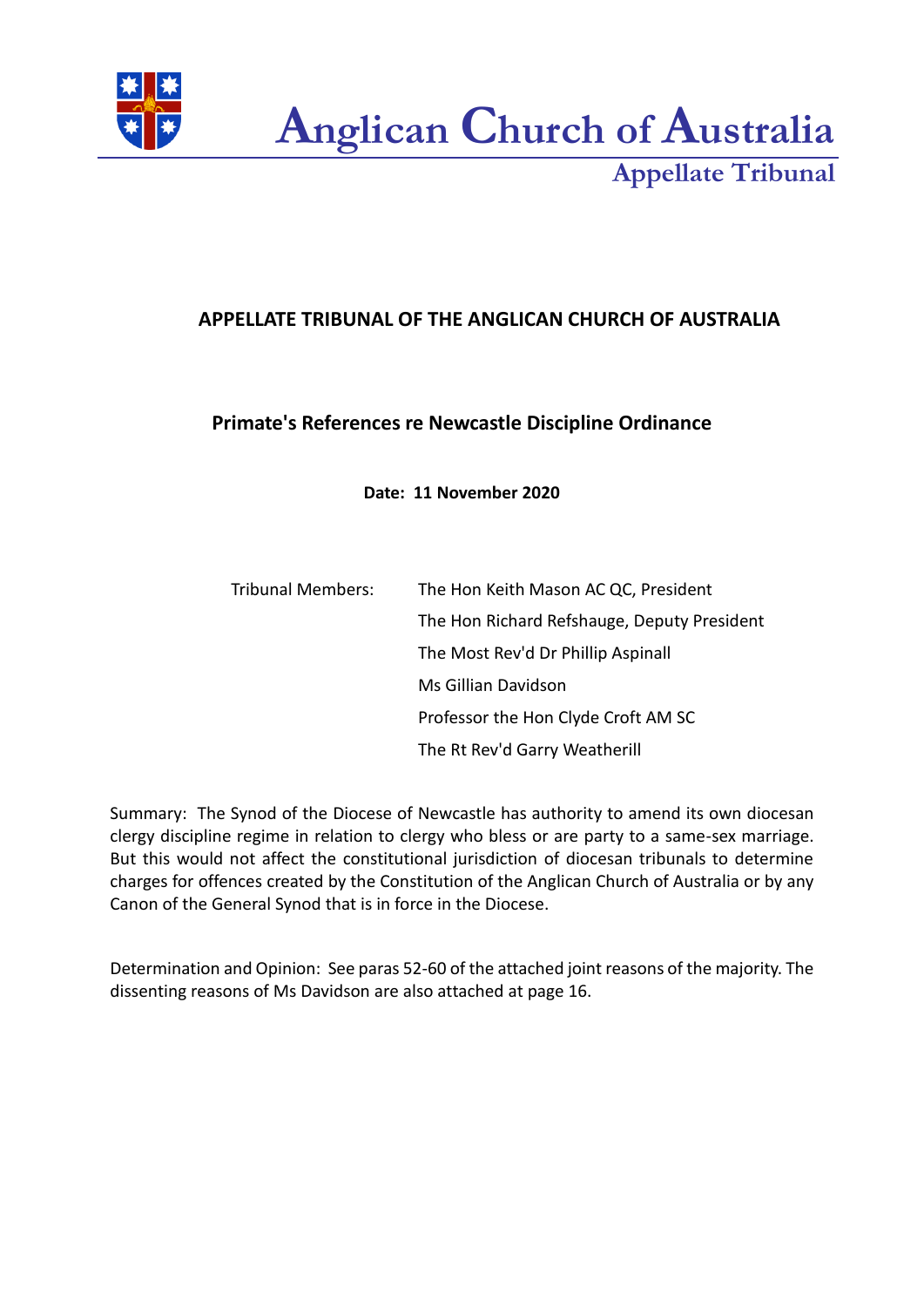

**Appellate Tribunal**

# **APPELLATE TRIBUNAL OF THE ANGLICAN CHURCH OF AUSTRALIA**

## **Primate's References re Newcastle Discipline Ordinance**

## **Date: 11 November 2020**

| <b>Tribunal Members:</b> | The Hon Keith Mason AC QC, President        |
|--------------------------|---------------------------------------------|
|                          | The Hon Richard Refshauge, Deputy President |
|                          | The Most Rev'd Dr Phillip Aspinall          |
|                          | Ms Gillian Davidson                         |
|                          | Professor the Hon Clyde Croft AM SC         |
|                          | The Rt Rev'd Garry Weatherill               |

Summary: The Synod of the Diocese of Newcastle has authority to amend its own diocesan clergy discipline regime in relation to clergy who bless or are party to a same-sex marriage. But this would not affect the constitutional jurisdiction of diocesan tribunals to determine charges for offences created by the Constitution of the Anglican Church of Australia or by any Canon of the General Synod that is in force in the Diocese.

Determination and Opinion: See paras 52-60 of the attached joint reasons of the majority. The dissenting reasons of Ms Davidson are also attached at page 16.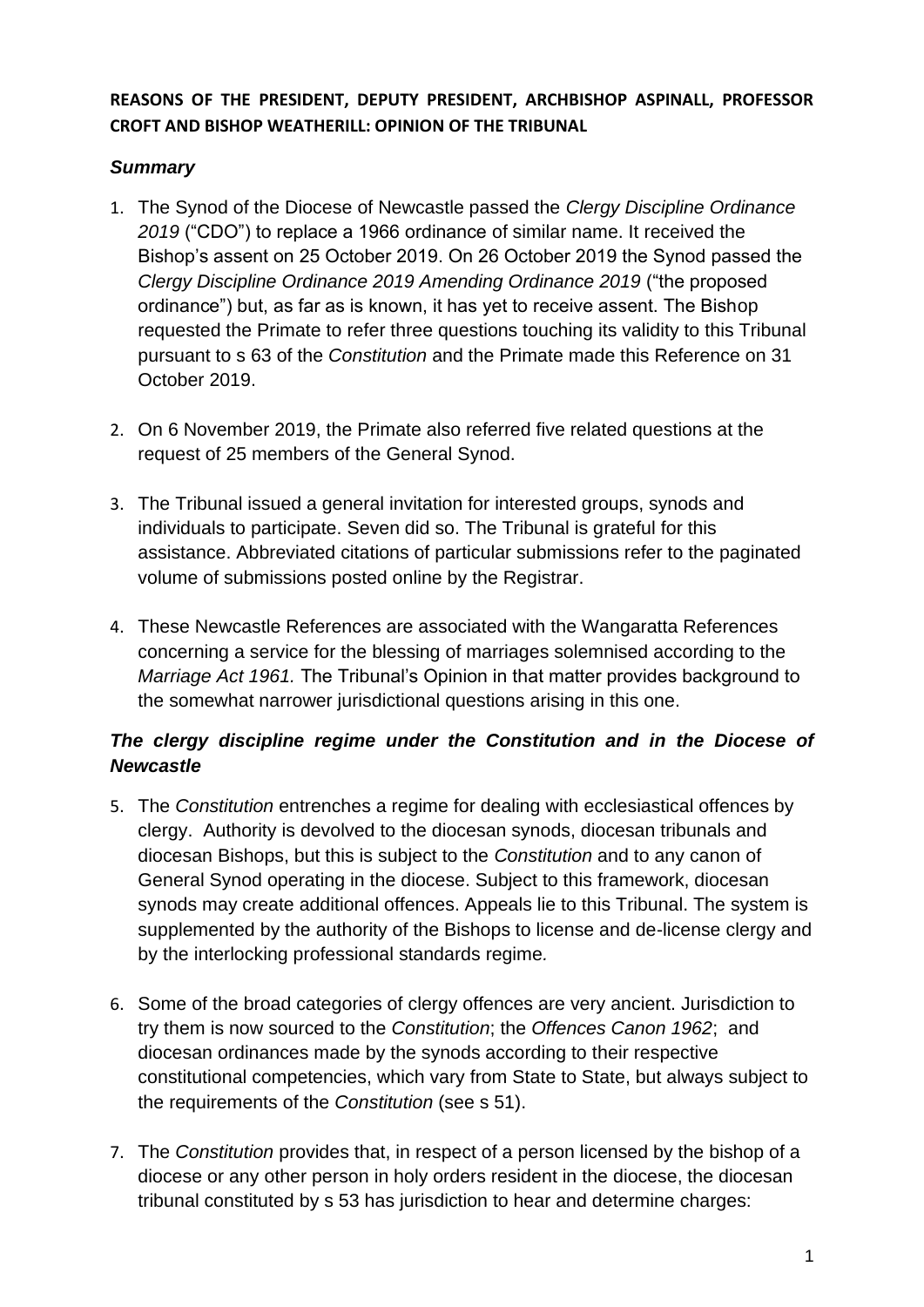## **REASONS OF THE PRESIDENT, DEPUTY PRESIDENT, ARCHBISHOP ASPINALL, PROFESSOR CROFT AND BISHOP WEATHERILL: OPINION OF THE TRIBUNAL**

# *Summary*

- 1. The Synod of the Diocese of Newcastle passed the *Clergy Discipline Ordinance 2019* ("CDO") to replace a 1966 ordinance of similar name. It received the Bishop's assent on 25 October 2019. On 26 October 2019 the Synod passed the *Clergy Discipline Ordinance 2019 Amending Ordinance 2019* ("the proposed ordinance") but, as far as is known, it has yet to receive assent. The Bishop requested the Primate to refer three questions touching its validity to this Tribunal pursuant to s 63 of the *Constitution* and the Primate made this Reference on 31 October 2019.
- 2. On 6 November 2019, the Primate also referred five related questions at the request of 25 members of the General Synod.
- 3. The Tribunal issued a general invitation for interested groups, synods and individuals to participate. Seven did so. The Tribunal is grateful for this assistance. Abbreviated citations of particular submissions refer to the paginated volume of submissions posted online by the Registrar.
- 4. These Newcastle References are associated with the Wangaratta References concerning a service for the blessing of marriages solemnised according to the *Marriage Act 1961.* The Tribunal's Opinion in that matter provides background to the somewhat narrower jurisdictional questions arising in this one.

# *The clergy discipline regime under the Constitution and in the Diocese of Newcastle*

- 5. The *Constitution* entrenches a regime for dealing with ecclesiastical offences by clergy. Authority is devolved to the diocesan synods, diocesan tribunals and diocesan Bishops, but this is subject to the *Constitution* and to any canon of General Synod operating in the diocese. Subject to this framework, diocesan synods may create additional offences. Appeals lie to this Tribunal. The system is supplemented by the authority of the Bishops to license and de-license clergy and by the interlocking professional standards regime*.*
- 6. Some of the broad categories of clergy offences are very ancient. Jurisdiction to try them is now sourced to the *Constitution*; the *Offences Canon 1962*; and diocesan ordinances made by the synods according to their respective constitutional competencies, which vary from State to State, but always subject to the requirements of the *Constitution* (see s 51).
- 7. The *Constitution* provides that, in respect of a person licensed by the bishop of a diocese or any other person in holy orders resident in the diocese, the diocesan tribunal constituted by s 53 has jurisdiction to hear and determine charges: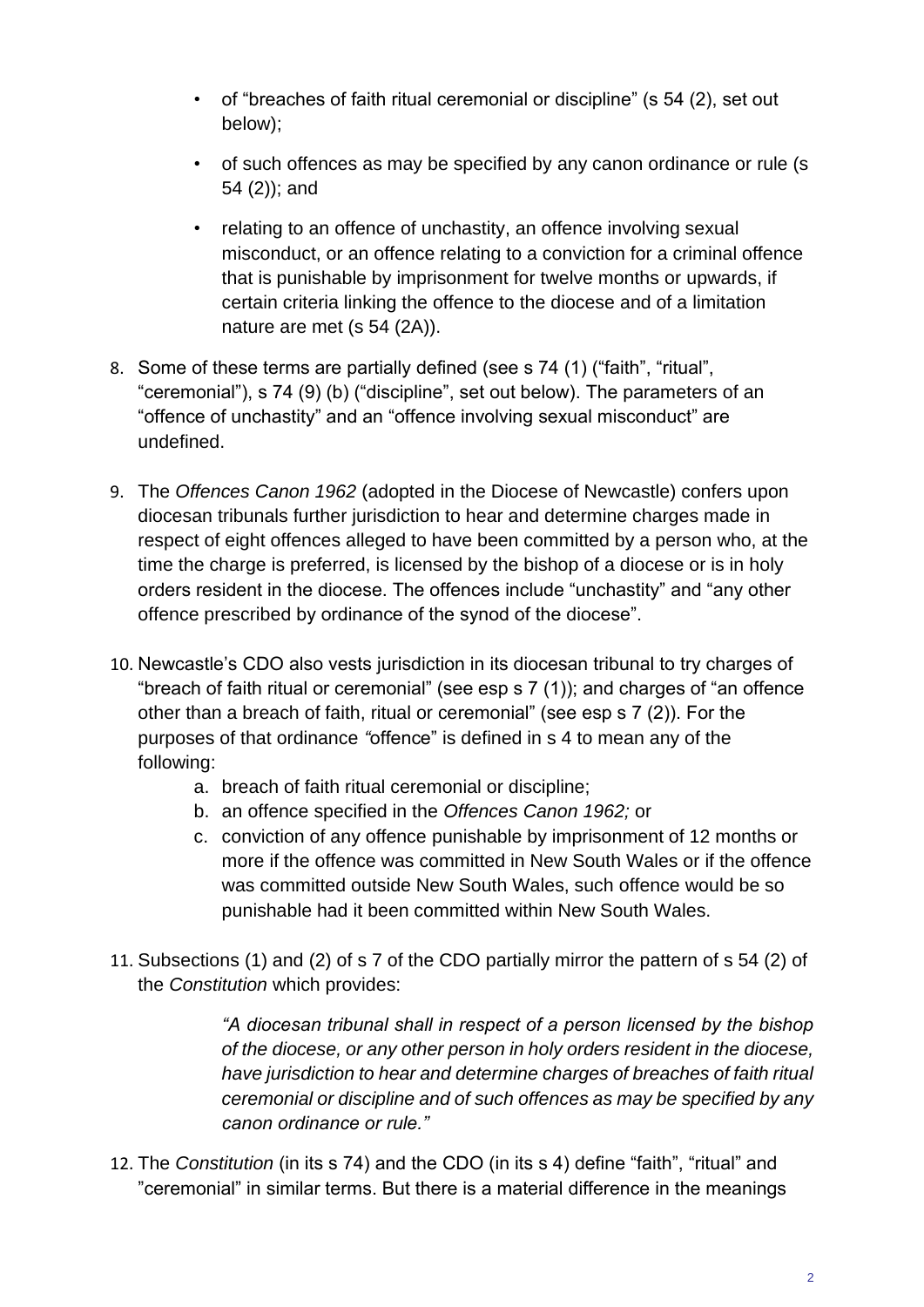- of "breaches of faith ritual ceremonial or discipline" (s 54 (2), set out below);
- of such offences as may be specified by any canon ordinance or rule (s 54 (2)); and
- relating to an offence of unchastity, an offence involving sexual misconduct, or an offence relating to a conviction for a criminal offence that is punishable by imprisonment for twelve months or upwards, if certain criteria linking the offence to the diocese and of a limitation nature are met (s 54 (2A)).
- 8. Some of these terms are partially defined (see s 74 (1) ("faith", "ritual", "ceremonial"), s 74 (9) (b) ("discipline", set out below). The parameters of an "offence of unchastity" and an "offence involving sexual misconduct" are undefined.
- 9. The *Offences Canon 1962* (adopted in the Diocese of Newcastle) confers upon diocesan tribunals further jurisdiction to hear and determine charges made in respect of eight offences alleged to have been committed by a person who, at the time the charge is preferred, is licensed by the bishop of a diocese or is in holy orders resident in the diocese. The offences include "unchastity" and "any other offence prescribed by ordinance of the synod of the diocese".
- 10. Newcastle's CDO also vests jurisdiction in its diocesan tribunal to try charges of "breach of faith ritual or ceremonial" (see esp s 7 (1)); and charges of "an offence other than a breach of faith, ritual or ceremonial" (see esp s 7 (2)). For the purposes of that ordinance *"*offence" is defined in s 4 to mean any of the following:
	- a. breach of faith ritual ceremonial or discipline;
	- b. an offence specified in the *Offences Canon 1962;* or
	- c. conviction of any offence punishable by imprisonment of 12 months or more if the offence was committed in New South Wales or if the offence was committed outside New South Wales, such offence would be so punishable had it been committed within New South Wales.
- 11. Subsections (1) and (2) of s 7 of the CDO partially mirror the pattern of s 54 (2) of the *Constitution* which provides:

*"A diocesan tribunal shall in respect of a person licensed by the bishop of the diocese, or any other person in holy orders resident in the diocese, have jurisdiction to hear and determine charges of breaches of faith ritual ceremonial or discipline and of such offences as may be specified by any canon ordinance or rule."*

12. The *Constitution* (in its s 74) and the CDO (in its s 4) define "faith", "ritual" and "ceremonial" in similar terms. But there is a material difference in the meanings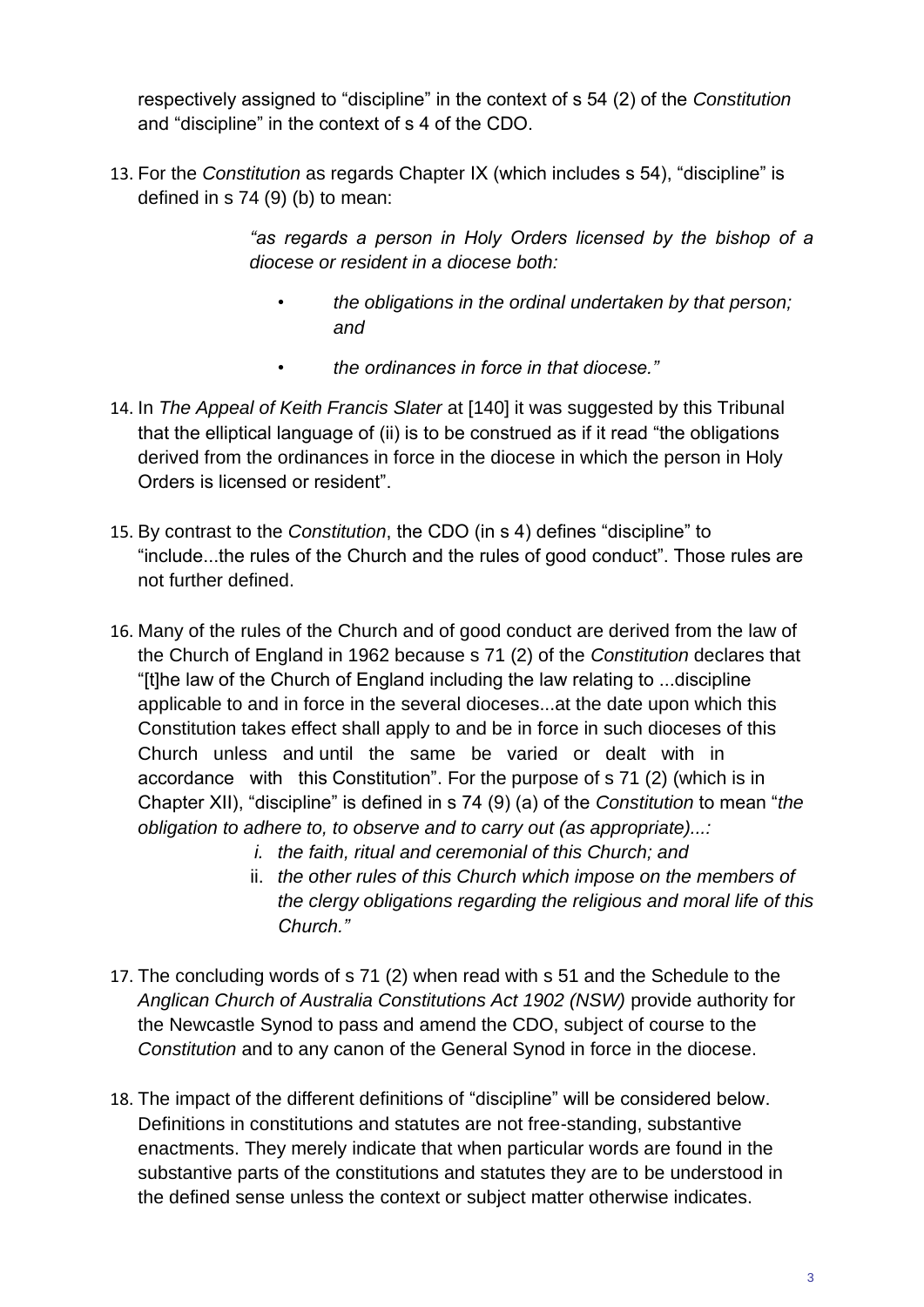respectively assigned to "discipline" in the context of s 54 (2) of the *Constitution*  and "discipline" in the context of s 4 of the CDO.

13. For the *Constitution* as regards Chapter IX (which includes s 54), "discipline" is defined in s 74 (9) (b) to mean:

> *"as regards a person in Holy Orders licensed by the bishop of a diocese or resident in a diocese both:*

- *the obligations in the ordinal undertaken by that person; and*
- *the ordinances in force in that diocese."*
- 14. In *The Appeal of Keith Francis Slater* at [140] it was suggested by this Tribunal that the elliptical language of (ii) is to be construed as if it read "the obligations derived from the ordinances in force in the diocese in which the person in Holy Orders is licensed or resident".
- 15. By contrast to the *Constitution*, the CDO (in s 4) defines "discipline" to "include...the rules of the Church and the rules of good conduct". Those rules are not further defined.
- 16. Many of the rules of the Church and of good conduct are derived from the law of the Church of England in 1962 because s 71 (2) of the *Constitution* declares that "[t]he law of the Church of England including the law relating to ...discipline applicable to and in force in the several dioceses...at the date upon which this Constitution takes effect shall apply to and be in force in such dioceses of this Church unless and until the same be varied or dealt with in accordance with this Constitution". For the purpose of s 71 (2) (which is in Chapter XII), "discipline" is defined in s 74 (9) (a) of the *Constitution* to mean "*the obligation to adhere to, to observe and to carry out (as appropriate)...:*
	- *i. the faith, ritual and ceremonial of this Church; and*
	- ii. *the other rules of this Church which impose on the members of the clergy obligations regarding the religious and moral life of this Church."*
- 17. The concluding words of s 71 (2) when read with s 51 and the Schedule to the *Anglican Church of Australia Constitutions Act 1902 (NSW)* provide authority for the Newcastle Synod to pass and amend the CDO, subject of course to the *Constitution* and to any canon of the General Synod in force in the diocese.
- 18. The impact of the different definitions of "discipline" will be considered below. Definitions in constitutions and statutes are not free-standing, substantive enactments. They merely indicate that when particular words are found in the substantive parts of the constitutions and statutes they are to be understood in the defined sense unless the context or subject matter otherwise indicates.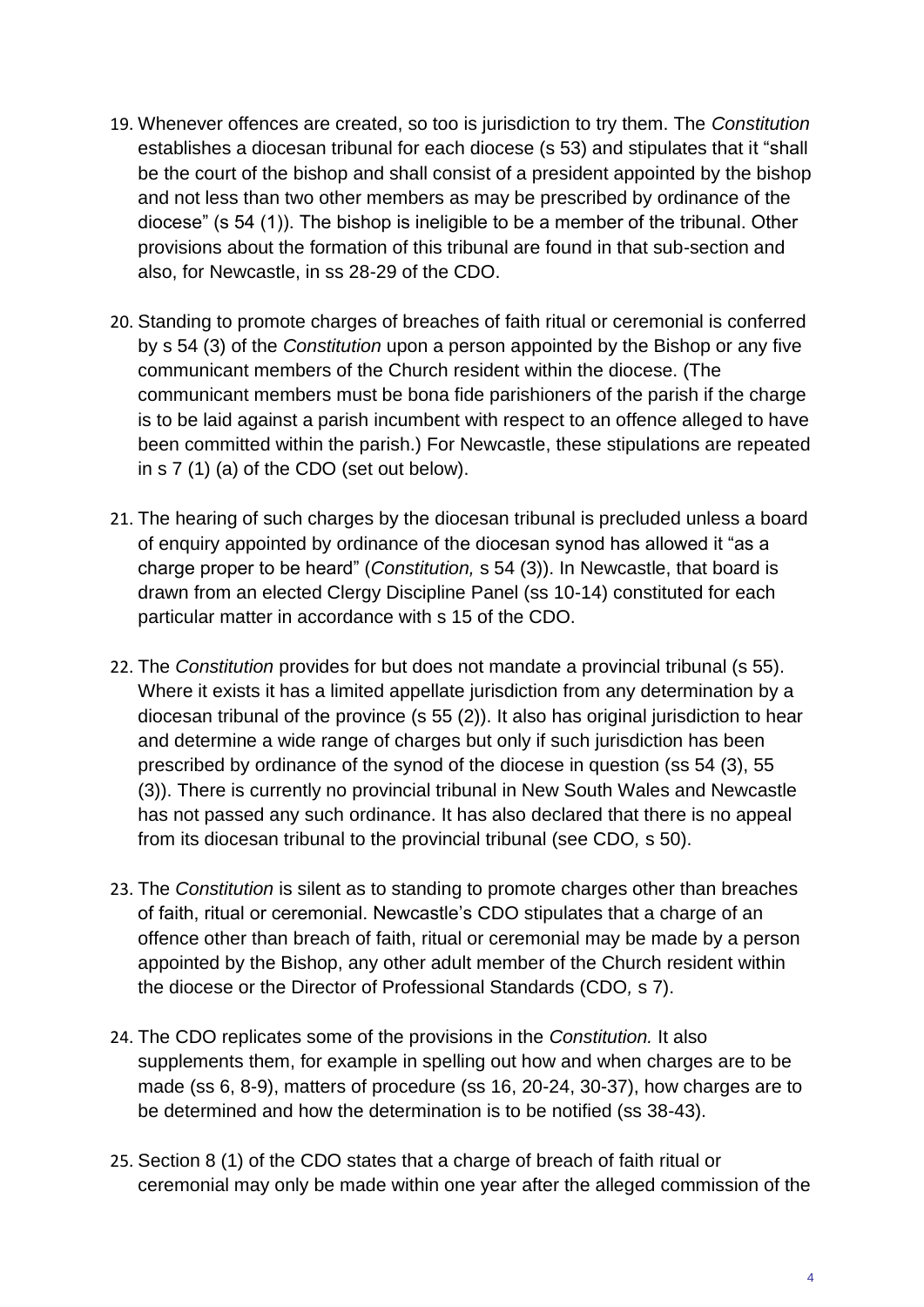- 19. Whenever offences are created, so too is jurisdiction to try them. The *Constitution* establishes a diocesan tribunal for each diocese (s 53) and stipulates that it "shall be the court of the bishop and shall consist of a president appointed by the bishop and not less than two other members as may be prescribed by ordinance of the diocese" (s 54 (1)). The bishop is ineligible to be a member of the tribunal. Other provisions about the formation of this tribunal are found in that sub-section and also, for Newcastle, in ss 28-29 of the CDO.
- 20. Standing to promote charges of breaches of faith ritual or ceremonial is conferred by s 54 (3) of the *Constitution* upon a person appointed by the Bishop or any five communicant members of the Church resident within the diocese. (The communicant members must be bona fide parishioners of the parish if the charge is to be laid against a parish incumbent with respect to an offence alleged to have been committed within the parish.) For Newcastle, these stipulations are repeated in s 7 (1) (a) of the CDO (set out below).
- 21. The hearing of such charges by the diocesan tribunal is precluded unless a board of enquiry appointed by ordinance of the diocesan synod has allowed it "as a charge proper to be heard" (*Constitution,* s 54 (3)). In Newcastle, that board is drawn from an elected Clergy Discipline Panel (ss 10-14) constituted for each particular matter in accordance with s 15 of the CDO.
- 22. The *Constitution* provides for but does not mandate a provincial tribunal (s 55). Where it exists it has a limited appellate jurisdiction from any determination by a diocesan tribunal of the province (s 55 (2)). It also has original jurisdiction to hear and determine a wide range of charges but only if such jurisdiction has been prescribed by ordinance of the synod of the diocese in question (ss 54 (3), 55 (3)). There is currently no provincial tribunal in New South Wales and Newcastle has not passed any such ordinance. It has also declared that there is no appeal from its diocesan tribunal to the provincial tribunal (see CDO*,* s 50).
- 23. The *Constitution* is silent as to standing to promote charges other than breaches of faith, ritual or ceremonial. Newcastle's CDO stipulates that a charge of an offence other than breach of faith, ritual or ceremonial may be made by a person appointed by the Bishop, any other adult member of the Church resident within the diocese or the Director of Professional Standards (CDO*,* s 7).
- 24. The CDO replicates some of the provisions in the *Constitution.* It also supplements them, for example in spelling out how and when charges are to be made (ss 6, 8-9), matters of procedure (ss 16, 20-24, 30-37), how charges are to be determined and how the determination is to be notified (ss 38-43).
- 25. Section 8 (1) of the CDO states that a charge of breach of faith ritual or ceremonial may only be made within one year after the alleged commission of the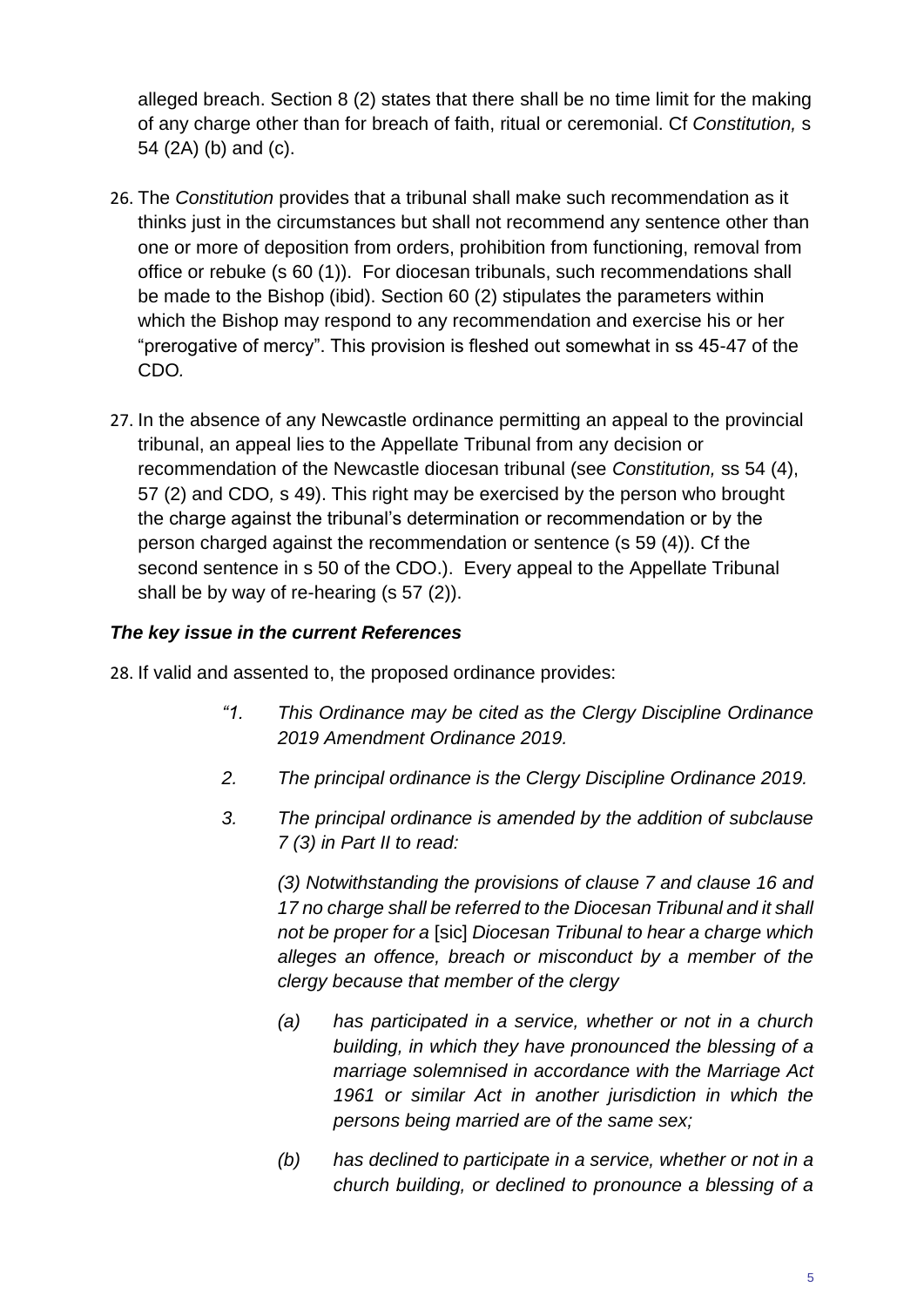alleged breach. Section 8 (2) states that there shall be no time limit for the making of any charge other than for breach of faith, ritual or ceremonial. Cf *Constitution,* s 54 (2A) (b) and (c).

- 26. The *Constitution* provides that a tribunal shall make such recommendation as it thinks just in the circumstances but shall not recommend any sentence other than one or more of deposition from orders, prohibition from functioning, removal from office or rebuke (s 60 (1)). For diocesan tribunals, such recommendations shall be made to the Bishop (ibid). Section 60 (2) stipulates the parameters within which the Bishop may respond to any recommendation and exercise his or her "prerogative of mercy". This provision is fleshed out somewhat in ss 45-47 of the CDO*.*
- 27. In the absence of any Newcastle ordinance permitting an appeal to the provincial tribunal, an appeal lies to the Appellate Tribunal from any decision or recommendation of the Newcastle diocesan tribunal (see *Constitution,* ss 54 (4), 57 (2) and CDO*,* s 49). This right may be exercised by the person who brought the charge against the tribunal's determination or recommendation or by the person charged against the recommendation or sentence (s 59 (4)). Cf the second sentence in s 50 of the CDO.). Every appeal to the Appellate Tribunal shall be by way of re-hearing (s 57 (2)).

## *The key issue in the current References*

- 28. If valid and assented to, the proposed ordinance provides:
	- *"1. This Ordinance may be cited as the Clergy Discipline Ordinance 2019 Amendment Ordinance 2019.*
	- *2. The principal ordinance is the Clergy Discipline Ordinance 2019.*
	- *3. The principal ordinance is amended by the addition of subclause 7 (3) in Part II to read:*

*(3) Notwithstanding the provisions of clause 7 and clause 16 and 17 no charge shall be referred to the Diocesan Tribunal and it shall not be proper for a* [sic] *Diocesan Tribunal to hear a charge which alleges an offence, breach or misconduct by a member of the clergy because that member of the clergy*

- *(a) has participated in a service, whether or not in a church building, in which they have pronounced the blessing of a marriage solemnised in accordance with the Marriage Act 1961 or similar Act in another jurisdiction in which the persons being married are of the same sex;*
- *(b) has declined to participate in a service, whether or not in a church building, or declined to pronounce a blessing of a*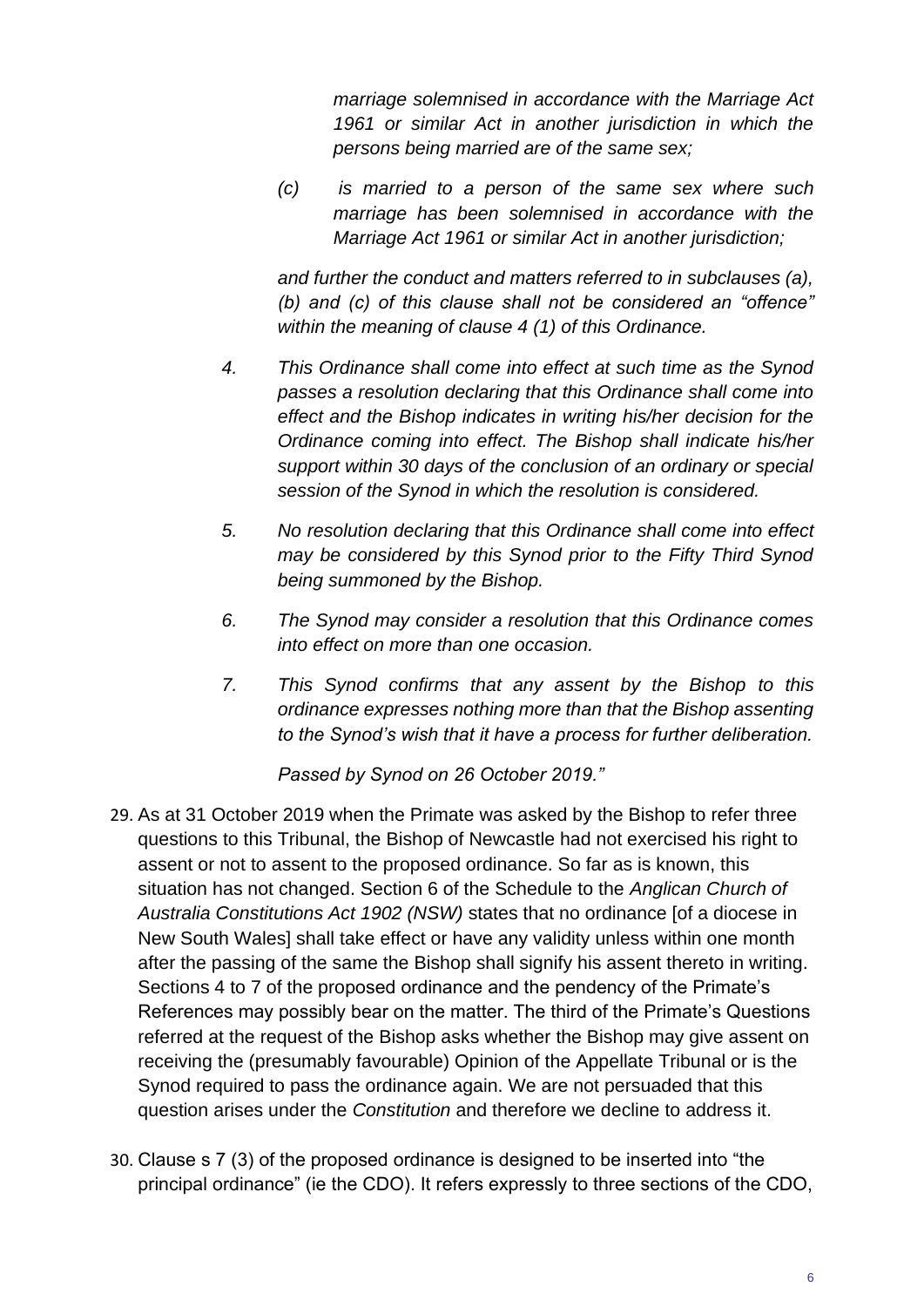*marriage solemnised in accordance with the Marriage Act 1961 or similar Act in another jurisdiction in which the persons being married are of the same sex;*

*(c) is married to a person of the same sex where such marriage has been solemnised in accordance with the Marriage Act 1961 or similar Act in another jurisdiction;*

*and further the conduct and matters referred to in subclauses (a), (b) and (c) of this clause shall not be considered an "offence" within the meaning of clause 4 (1) of this Ordinance.*

- *4. This Ordinance shall come into effect at such time as the Synod passes a resolution declaring that this Ordinance shall come into effect and the Bishop indicates in writing his/her decision for the Ordinance coming into effect. The Bishop shall indicate his/her support within 30 days of the conclusion of an ordinary or special session of the Synod in which the resolution is considered.*
- *5. No resolution declaring that this Ordinance shall come into effect may be considered by this Synod prior to the Fifty Third Synod being summoned by the Bishop.*
- *6. The Synod may consider a resolution that this Ordinance comes into effect on more than one occasion.*
- *7. This Synod confirms that any assent by the Bishop to this ordinance expresses nothing more than that the Bishop assenting to the Synod's wish that it have a process for further deliberation.*

*Passed by Synod on 26 October 2019."*

- 29. As at 31 October 2019 when the Primate was asked by the Bishop to refer three questions to this Tribunal, the Bishop of Newcastle had not exercised his right to assent or not to assent to the proposed ordinance. So far as is known, this situation has not changed. Section 6 of the Schedule to the *Anglican Church of Australia Constitutions Act 1902 (NSW)* states that no ordinance [of a diocese in New South Wales] shall take effect or have any validity unless within one month after the passing of the same the Bishop shall signify his assent thereto in writing. Sections 4 to 7 of the proposed ordinance and the pendency of the Primate's References may possibly bear on the matter. The third of the Primate's Questions referred at the request of the Bishop asks whether the Bishop may give assent on receiving the (presumably favourable) Opinion of the Appellate Tribunal or is the Synod required to pass the ordinance again. We are not persuaded that this question arises under the *Constitution* and therefore we decline to address it.
- 30. Clause s 7 (3) of the proposed ordinance is designed to be inserted into "the principal ordinance" (ie the CDO). It refers expressly to three sections of the CDO,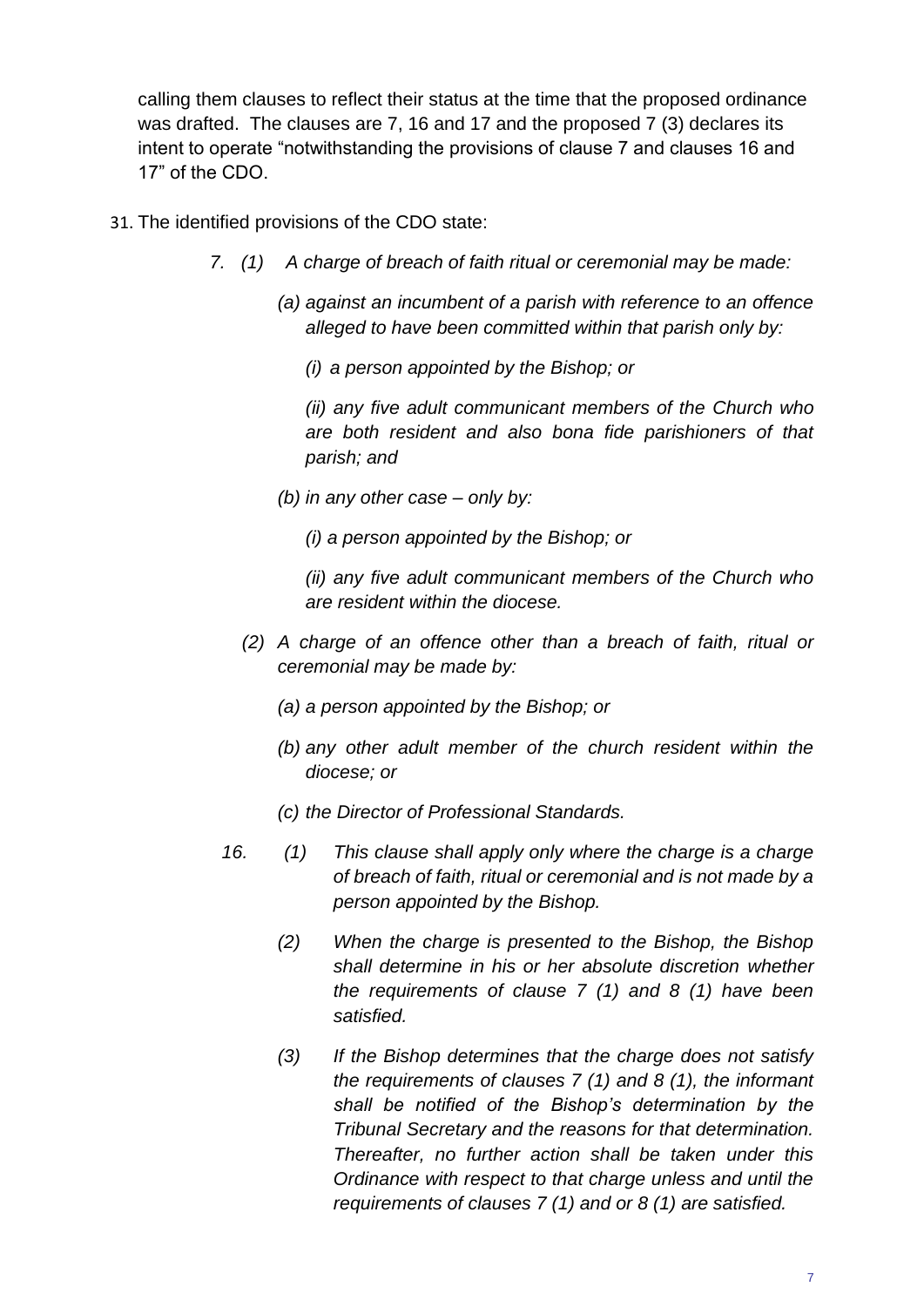calling them clauses to reflect their status at the time that the proposed ordinance was drafted. The clauses are 7, 16 and 17 and the proposed 7 (3) declares its intent to operate "notwithstanding the provisions of clause 7 and clauses 16 and 17" of the CDO.

- 31. The identified provisions of the CDO state:
	- *7. (1) A charge of breach of faith ritual or ceremonial may be made:*
		- *(a) against an incumbent of a parish with reference to an offence alleged to have been committed within that parish only by:*
			- *(i) a person appointed by the Bishop; or*

*(ii) any five adult communicant members of the Church who are both resident and also bona fide parishioners of that parish; and*

*(b) in any other case – only by:*

*(i) a person appointed by the Bishop; or*

*(ii) any five adult communicant members of the Church who are resident within the diocese.*

- *(2) A charge of an offence other than a breach of faith, ritual or ceremonial may be made by:*
	- *(a) a person appointed by the Bishop; or*
	- *(b) any other adult member of the church resident within the diocese; or*
	- *(c) the Director of Professional Standards.*
- *16. (1) This clause shall apply only where the charge is a charge of breach of faith, ritual or ceremonial and is not made by a person appointed by the Bishop.*
	- *(2) When the charge is presented to the Bishop, the Bishop shall determine in his or her absolute discretion whether the requirements of clause 7 (1) and 8 (1) have been satisfied.*
	- *(3) If the Bishop determines that the charge does not satisfy the requirements of clauses 7 (1) and 8 (1), the informant shall be notified of the Bishop's determination by the Tribunal Secretary and the reasons for that determination. Thereafter, no further action shall be taken under this Ordinance with respect to that charge unless and until the requirements of clauses 7 (1) and or 8 (1) are satisfied.*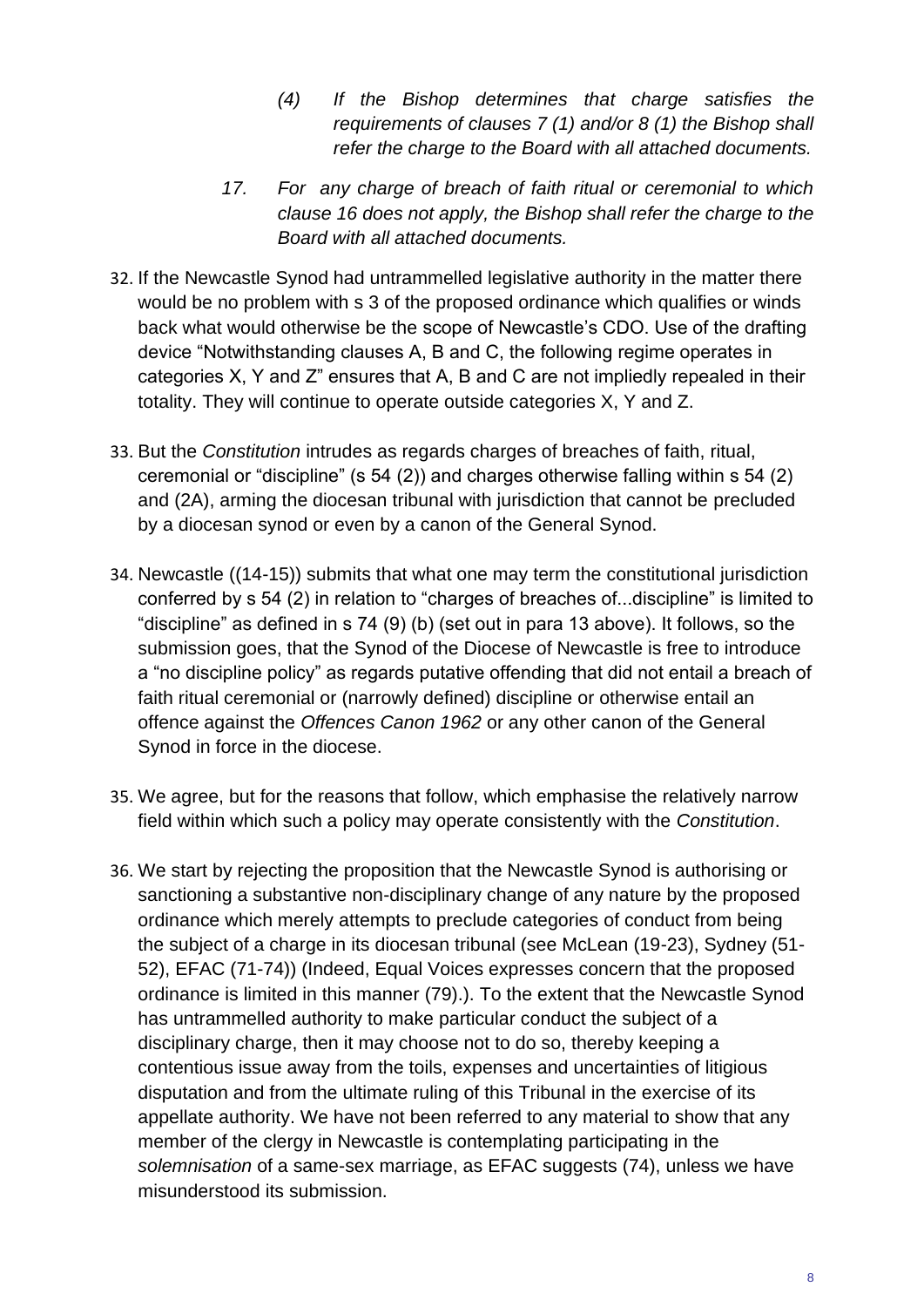- *(4) If the Bishop determines that charge satisfies the requirements of clauses 7 (1) and/or 8 (1) the Bishop shall refer the charge to the Board with all attached documents.*
- *17. For any charge of breach of faith ritual or ceremonial to which clause 16 does not apply, the Bishop shall refer the charge to the Board with all attached documents.*
- 32. If the Newcastle Synod had untrammelled legislative authority in the matter there would be no problem with s 3 of the proposed ordinance which qualifies or winds back what would otherwise be the scope of Newcastle's CDO. Use of the drafting device "Notwithstanding clauses A, B and C, the following regime operates in categories X, Y and Z" ensures that A, B and C are not impliedly repealed in their totality. They will continue to operate outside categories X, Y and Z.
- 33. But the *Constitution* intrudes as regards charges of breaches of faith, ritual, ceremonial or "discipline" (s 54 (2)) and charges otherwise falling within s 54 (2) and (2A), arming the diocesan tribunal with jurisdiction that cannot be precluded by a diocesan synod or even by a canon of the General Synod.
- 34. Newcastle ((14-15)) submits that what one may term the constitutional jurisdiction conferred by s 54 (2) in relation to "charges of breaches of...discipline" is limited to "discipline" as defined in s 74 (9) (b) (set out in para 13 above). It follows, so the submission goes, that the Synod of the Diocese of Newcastle is free to introduce a "no discipline policy" as regards putative offending that did not entail a breach of faith ritual ceremonial or (narrowly defined) discipline or otherwise entail an offence against the *Offences Canon 1962* or any other canon of the General Synod in force in the diocese.
- 35. We agree, but for the reasons that follow, which emphasise the relatively narrow field within which such a policy may operate consistently with the *Constitution*.
- 36. We start by rejecting the proposition that the Newcastle Synod is authorising or sanctioning a substantive non-disciplinary change of any nature by the proposed ordinance which merely attempts to preclude categories of conduct from being the subject of a charge in its diocesan tribunal (see McLean (19-23), Sydney (51- 52), EFAC (71-74)) (Indeed, Equal Voices expresses concern that the proposed ordinance is limited in this manner (79).). To the extent that the Newcastle Synod has untrammelled authority to make particular conduct the subject of a disciplinary charge, then it may choose not to do so, thereby keeping a contentious issue away from the toils, expenses and uncertainties of litigious disputation and from the ultimate ruling of this Tribunal in the exercise of its appellate authority. We have not been referred to any material to show that any member of the clergy in Newcastle is contemplating participating in the *solemnisation* of a same-sex marriage, as EFAC suggests (74), unless we have misunderstood its submission.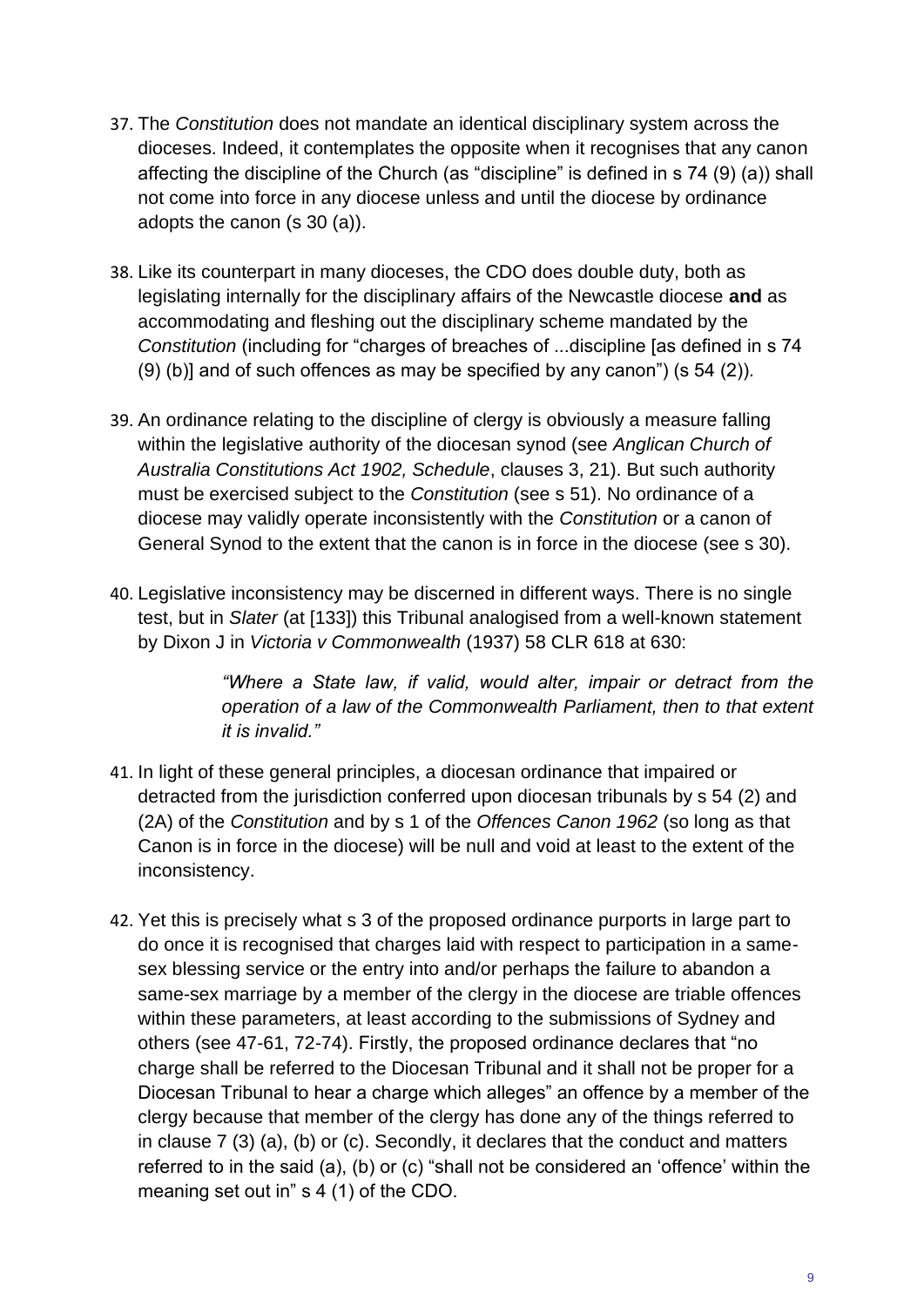- 37. The *Constitution* does not mandate an identical disciplinary system across the dioceses. Indeed, it contemplates the opposite when it recognises that any canon affecting the discipline of the Church (as "discipline" is defined in s 74 (9) (a)) shall not come into force in any diocese unless and until the diocese by ordinance adopts the canon (s 30 (a)).
- 38. Like its counterpart in many dioceses, the CDO does double duty, both as legislating internally for the disciplinary affairs of the Newcastle diocese **and** as accommodating and fleshing out the disciplinary scheme mandated by the *Constitution* (including for "charges of breaches of ...discipline [as defined in s 74 (9) (b)] and of such offences as may be specified by any canon") (s 54 (2))*.*
- 39. An ordinance relating to the discipline of clergy is obviously a measure falling within the legislative authority of the diocesan synod (see *Anglican Church of Australia Constitutions Act 1902, Schedule*, clauses 3, 21). But such authority must be exercised subject to the *Constitution* (see s 51). No ordinance of a diocese may validly operate inconsistently with the *Constitution* or a canon of General Synod to the extent that the canon is in force in the diocese (see s 30).
- 40. Legislative inconsistency may be discerned in different ways. There is no single test, but in *Slater* (at [133]) this Tribunal analogised from a well-known statement by Dixon J in *Victoria v Commonwealth* (1937) 58 CLR 618 at 630:

*"Where a State law, if valid, would alter, impair or detract from the operation of a law of the Commonwealth Parliament, then to that extent it is invalid."*

- 41. In light of these general principles, a diocesan ordinance that impaired or detracted from the jurisdiction conferred upon diocesan tribunals by s 54 (2) and (2A) of the *Constitution* and by s 1 of the *Offences Canon 1962* (so long as that Canon is in force in the diocese) will be null and void at least to the extent of the inconsistency.
- 42. Yet this is precisely what s 3 of the proposed ordinance purports in large part to do once it is recognised that charges laid with respect to participation in a samesex blessing service or the entry into and/or perhaps the failure to abandon a same-sex marriage by a member of the clergy in the diocese are triable offences within these parameters, at least according to the submissions of Sydney and others (see 47-61, 72-74). Firstly, the proposed ordinance declares that "no charge shall be referred to the Diocesan Tribunal and it shall not be proper for a Diocesan Tribunal to hear a charge which alleges" an offence by a member of the clergy because that member of the clergy has done any of the things referred to in clause 7 (3) (a), (b) or (c). Secondly, it declares that the conduct and matters referred to in the said (a), (b) or (c) "shall not be considered an 'offence' within the meaning set out in" s 4 (1) of the CDO.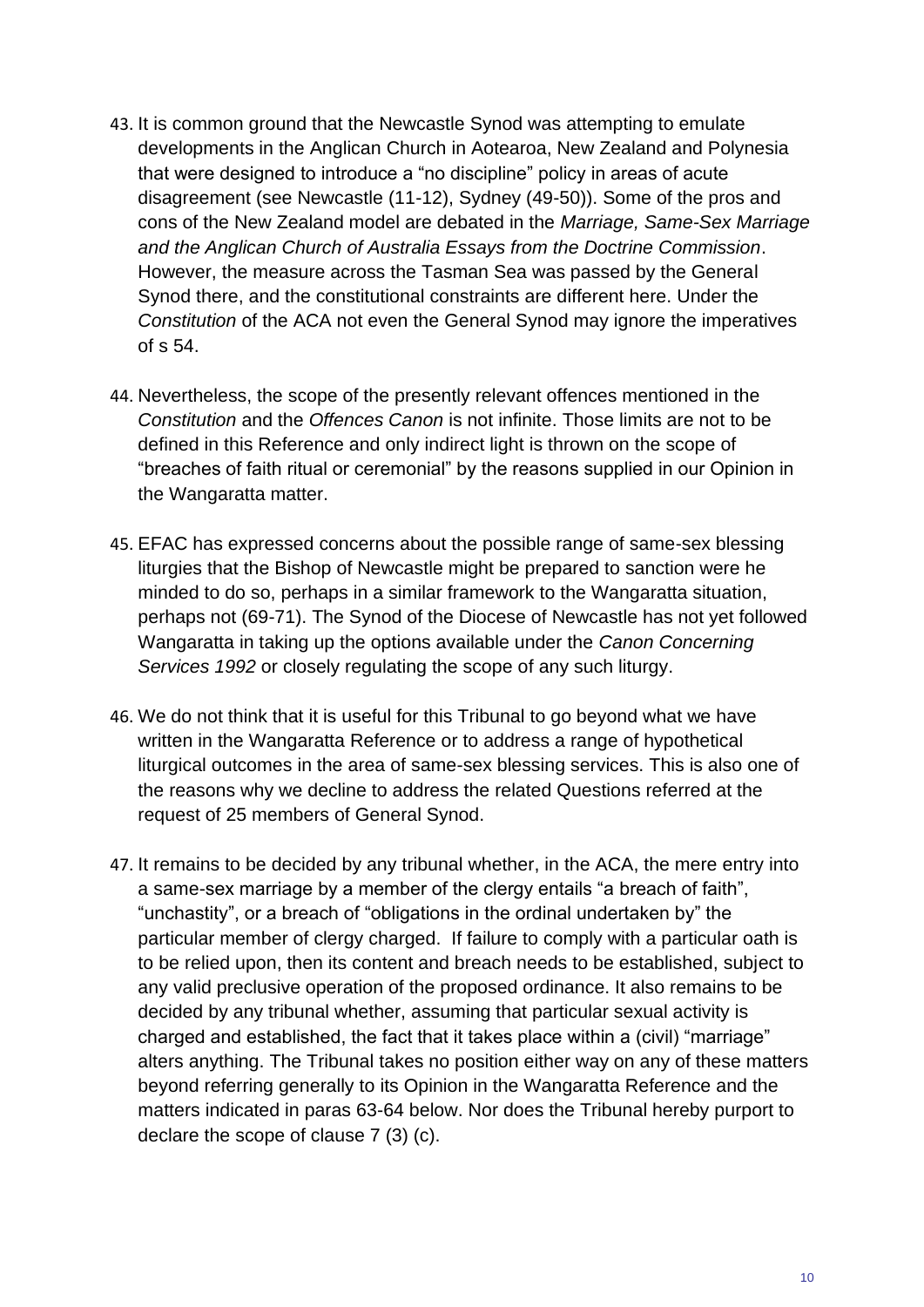- 43. It is common ground that the Newcastle Synod was attempting to emulate developments in the Anglican Church in Aotearoa, New Zealand and Polynesia that were designed to introduce a "no discipline" policy in areas of acute disagreement (see Newcastle (11-12), Sydney (49-50)). Some of the pros and cons of the New Zealand model are debated in the *Marriage, Same-Sex Marriage and the Anglican Church of Australia Essays from the Doctrine Commission*. However, the measure across the Tasman Sea was passed by the General Synod there, and the constitutional constraints are different here. Under the *Constitution* of the ACA not even the General Synod may ignore the imperatives of s 54.
- 44. Nevertheless, the scope of the presently relevant offences mentioned in the *Constitution* and the *Offences Canon* is not infinite. Those limits are not to be defined in this Reference and only indirect light is thrown on the scope of "breaches of faith ritual or ceremonial" by the reasons supplied in our Opinion in the Wangaratta matter.
- 45. EFAC has expressed concerns about the possible range of same-sex blessing liturgies that the Bishop of Newcastle might be prepared to sanction were he minded to do so, perhaps in a similar framework to the Wangaratta situation, perhaps not (69-71). The Synod of the Diocese of Newcastle has not yet followed Wangaratta in taking up the options available under the *Canon Concerning Services 1992* or closely regulating the scope of any such liturgy.
- 46. We do not think that it is useful for this Tribunal to go beyond what we have written in the Wangaratta Reference or to address a range of hypothetical liturgical outcomes in the area of same-sex blessing services. This is also one of the reasons why we decline to address the related Questions referred at the request of 25 members of General Synod.
- 47. It remains to be decided by any tribunal whether, in the ACA, the mere entry into a same-sex marriage by a member of the clergy entails "a breach of faith", "unchastity", or a breach of "obligations in the ordinal undertaken by" the particular member of clergy charged. If failure to comply with a particular oath is to be relied upon, then its content and breach needs to be established, subject to any valid preclusive operation of the proposed ordinance. It also remains to be decided by any tribunal whether, assuming that particular sexual activity is charged and established, the fact that it takes place within a (civil) "marriage" alters anything. The Tribunal takes no position either way on any of these matters beyond referring generally to its Opinion in the Wangaratta Reference and the matters indicated in paras 63-64 below. Nor does the Tribunal hereby purport to declare the scope of clause 7 (3) (c).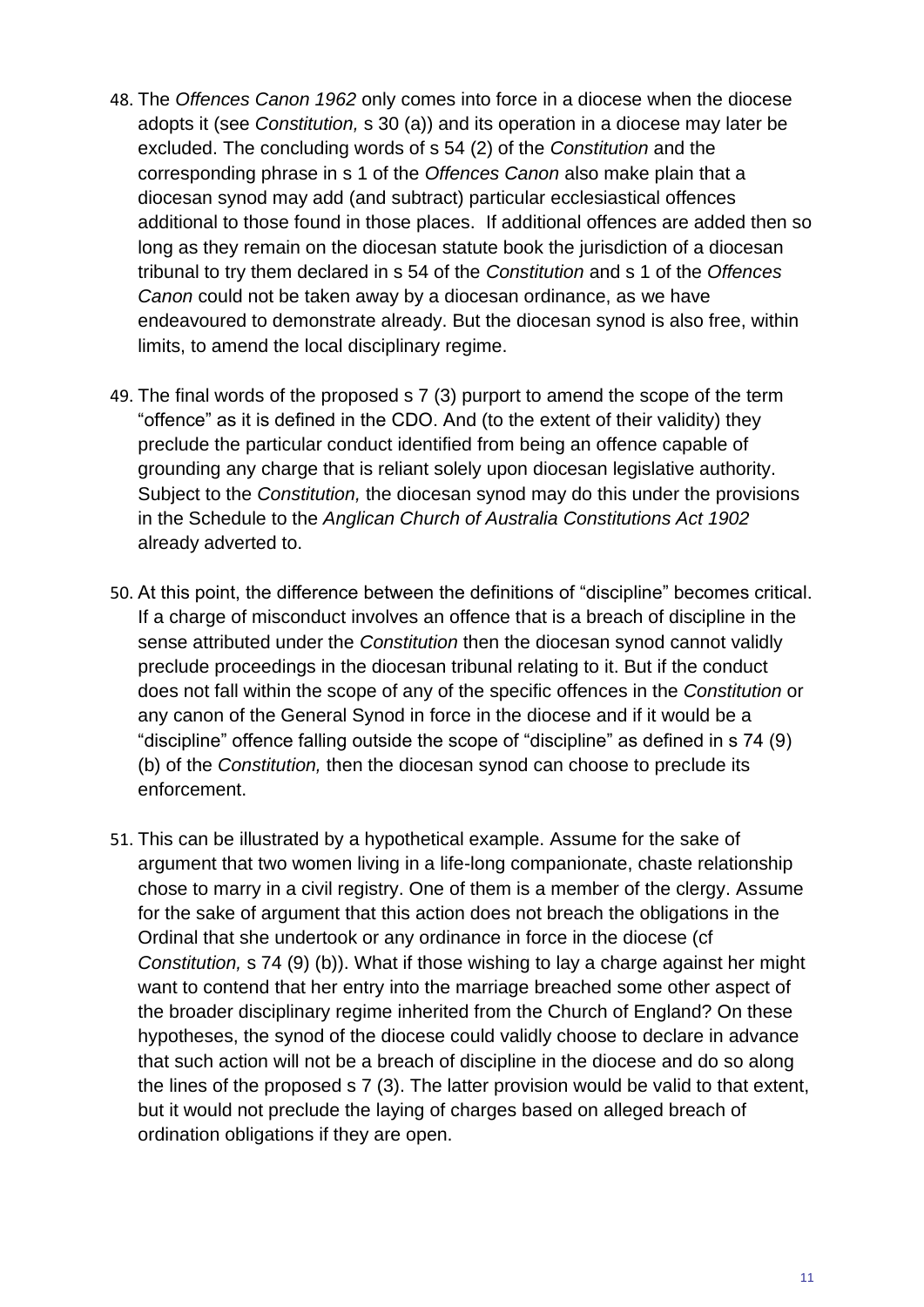- 48. The *Offences Canon 1962* only comes into force in a diocese when the diocese adopts it (see *Constitution,* s 30 (a)) and its operation in a diocese may later be excluded. The concluding words of s 54 (2) of the *Constitution* and the corresponding phrase in s 1 of the *Offences Canon* also make plain that a diocesan synod may add (and subtract) particular ecclesiastical offences additional to those found in those places.If additional offences are added then so long as they remain on the diocesan statute book the jurisdiction of a diocesan tribunal to try them declared in s 54 of the *Constitution* and s 1 of the *Offences Canon* could not be taken away by a diocesan ordinance, as we have endeavoured to demonstrate already. But the diocesan synod is also free, within limits, to amend the local disciplinary regime.
- 49. The final words of the proposed s 7 (3) purport to amend the scope of the term "offence" as it is defined in the CDO. And (to the extent of their validity) they preclude the particular conduct identified from being an offence capable of grounding any charge that is reliant solely upon diocesan legislative authority. Subject to the *Constitution,* the diocesan synod may do this under the provisions in the Schedule to the *Anglican Church of Australia Constitutions Act 1902* already adverted to.
- 50. At this point, the difference between the definitions of "discipline" becomes critical. If a charge of misconduct involves an offence that is a breach of discipline in the sense attributed under the *Constitution* then the diocesan synod cannot validly preclude proceedings in the diocesan tribunal relating to it. But if the conduct does not fall within the scope of any of the specific offences in the *Constitution* or any canon of the General Synod in force in the diocese and if it would be a "discipline" offence falling outside the scope of "discipline" as defined in s 74 (9) (b) of the *Constitution,* then the diocesan synod can choose to preclude its enforcement.
- 51. This can be illustrated by a hypothetical example. Assume for the sake of argument that two women living in a life-long companionate, chaste relationship chose to marry in a civil registry. One of them is a member of the clergy. Assume for the sake of argument that this action does not breach the obligations in the Ordinal that she undertook or any ordinance in force in the diocese (cf *Constitution,* s 74 (9) (b)). What if those wishing to lay a charge against her might want to contend that her entry into the marriage breached some other aspect of the broader disciplinary regime inherited from the Church of England? On these hypotheses, the synod of the diocese could validly choose to declare in advance that such action will not be a breach of discipline in the diocese and do so along the lines of the proposed s 7 (3). The latter provision would be valid to that extent, but it would not preclude the laying of charges based on alleged breach of ordination obligations if they are open.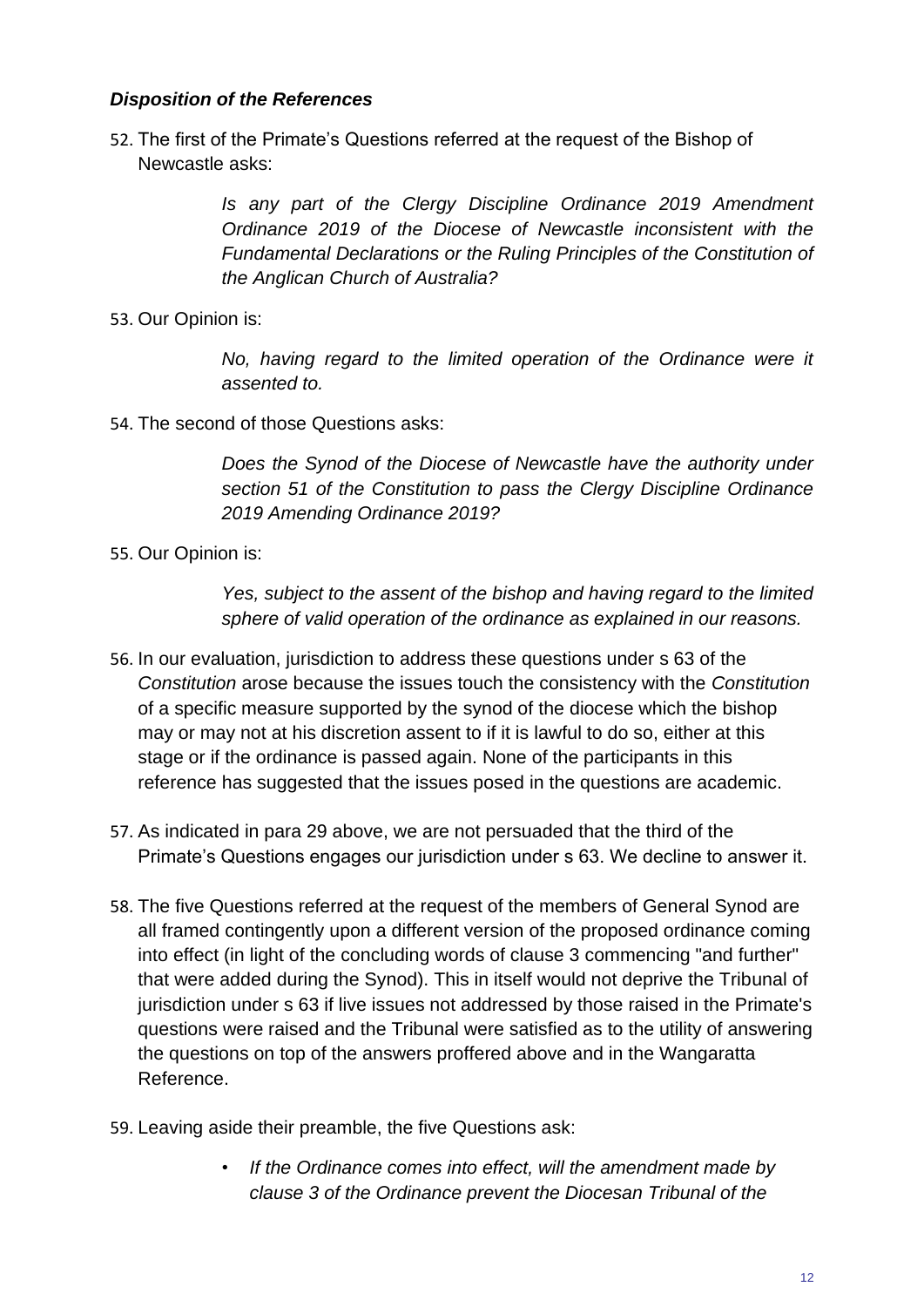## *Disposition of the References*

52. The first of the Primate's Questions referred at the request of the Bishop of Newcastle asks:

> *Is any part of the Clergy Discipline Ordinance 2019 Amendment Ordinance 2019 of the Diocese of Newcastle inconsistent with the Fundamental Declarations or the Ruling Principles of the Constitution of the Anglican Church of Australia?*

53. Our Opinion is:

*No, having regard to the limited operation of the Ordinance were it assented to.*

54. The second of those Questions asks:

*Does the Synod of the Diocese of Newcastle have the authority under section 51 of the Constitution to pass the Clergy Discipline Ordinance 2019 Amending Ordinance 2019?*

55. Our Opinion is:

*Yes, subject to the assent of the bishop and having regard to the limited sphere of valid operation of the ordinance as explained in our reasons.*

- 56. In our evaluation, jurisdiction to address these questions under s 63 of the *Constitution* arose because the issues touch the consistency with the *Constitution*  of a specific measure supported by the synod of the diocese which the bishop may or may not at his discretion assent to if it is lawful to do so, either at this stage or if the ordinance is passed again. None of the participants in this reference has suggested that the issues posed in the questions are academic.
- 57. As indicated in para 29 above, we are not persuaded that the third of the Primate's Questions engages our jurisdiction under s 63. We decline to answer it.
- 58. The five Questions referred at the request of the members of General Synod are all framed contingently upon a different version of the proposed ordinance coming into effect (in light of the concluding words of clause 3 commencing "and further" that were added during the Synod). This in itself would not deprive the Tribunal of jurisdiction under s 63 if live issues not addressed by those raised in the Primate's questions were raised and the Tribunal were satisfied as to the utility of answering the questions on top of the answers proffered above and in the Wangaratta Reference.
- 59. Leaving aside their preamble, the five Questions ask:
	- *If the Ordinance comes into effect, will the amendment made by clause 3 of the Ordinance prevent the Diocesan Tribunal of the*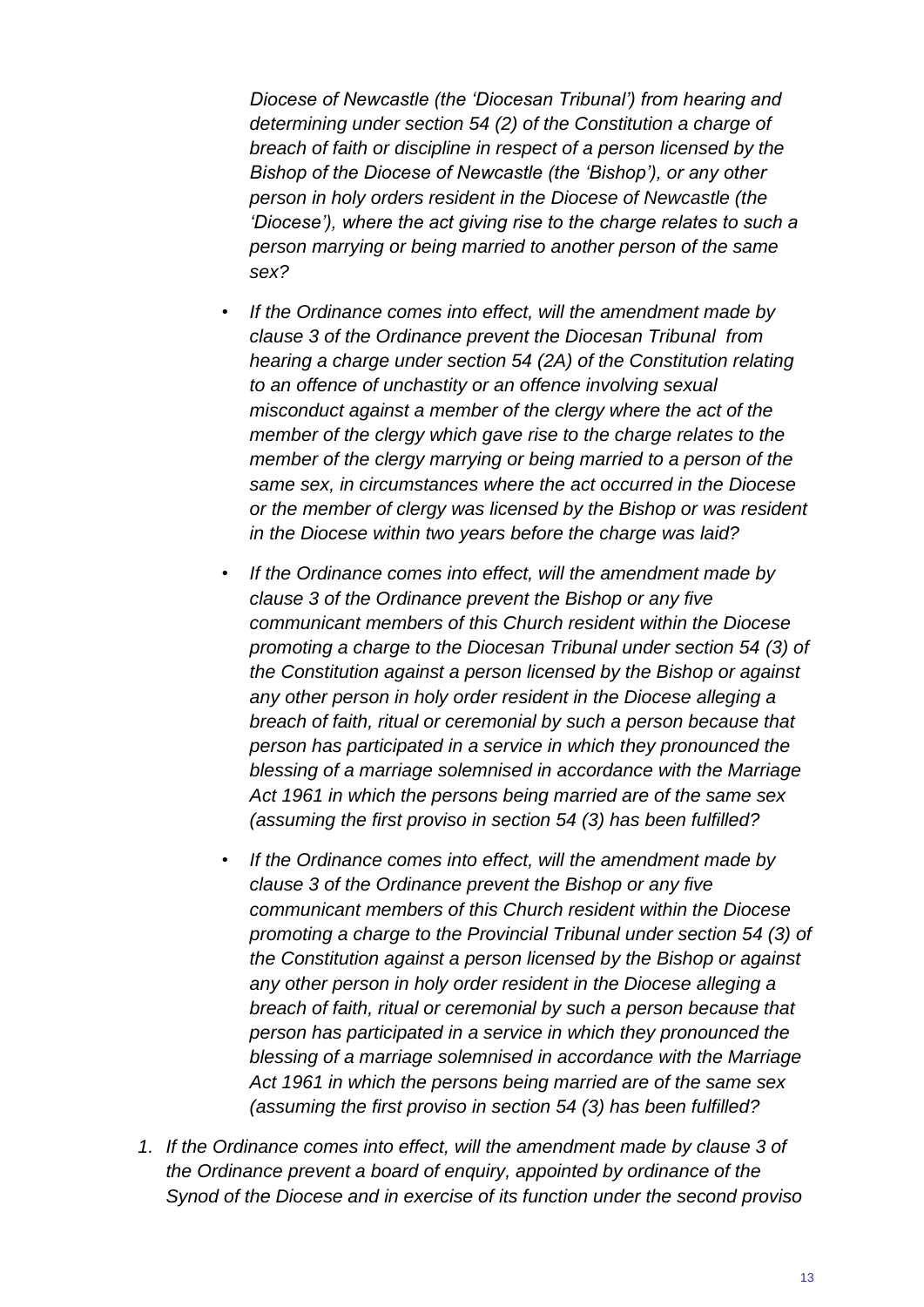*Diocese of Newcastle (the 'Diocesan Tribunal') from hearing and determining under section 54 (2) of the Constitution a charge of breach of faith or discipline in respect of a person licensed by the Bishop of the Diocese of Newcastle (the 'Bishop'), or any other person in holy orders resident in the Diocese of Newcastle (the 'Diocese'), where the act giving rise to the charge relates to such a person marrying or being married to another person of the same sex?*

- *If the Ordinance comes into effect, will the amendment made by clause 3 of the Ordinance prevent the Diocesan Tribunal from hearing a charge under section 54 (2A) of the Constitution relating to an offence of unchastity or an offence involving sexual misconduct against a member of the clergy where the act of the member of the clergy which gave rise to the charge relates to the member of the clergy marrying or being married to a person of the same sex, in circumstances where the act occurred in the Diocese or the member of clergy was licensed by the Bishop or was resident in the Diocese within two years before the charge was laid?*
- *If the Ordinance comes into effect, will the amendment made by clause 3 of the Ordinance prevent the Bishop or any five communicant members of this Church resident within the Diocese promoting a charge to the Diocesan Tribunal under section 54 (3) of the Constitution against a person licensed by the Bishop or against any other person in holy order resident in the Diocese alleging a breach of faith, ritual or ceremonial by such a person because that person has participated in a service in which they pronounced the blessing of a marriage solemnised in accordance with the Marriage Act 1961 in which the persons being married are of the same sex (assuming the first proviso in section 54 (3) has been fulfilled?*
- *If the Ordinance comes into effect, will the amendment made by clause 3 of the Ordinance prevent the Bishop or any five communicant members of this Church resident within the Diocese promoting a charge to the Provincial Tribunal under section 54 (3) of the Constitution against a person licensed by the Bishop or against any other person in holy order resident in the Diocese alleging a breach of faith, ritual or ceremonial by such a person because that person has participated in a service in which they pronounced the blessing of a marriage solemnised in accordance with the Marriage Act 1961 in which the persons being married are of the same sex (assuming the first proviso in section 54 (3) has been fulfilled?*
- *1. If the Ordinance comes into effect, will the amendment made by clause 3 of the Ordinance prevent a board of enquiry, appointed by ordinance of the Synod of the Diocese and in exercise of its function under the second proviso*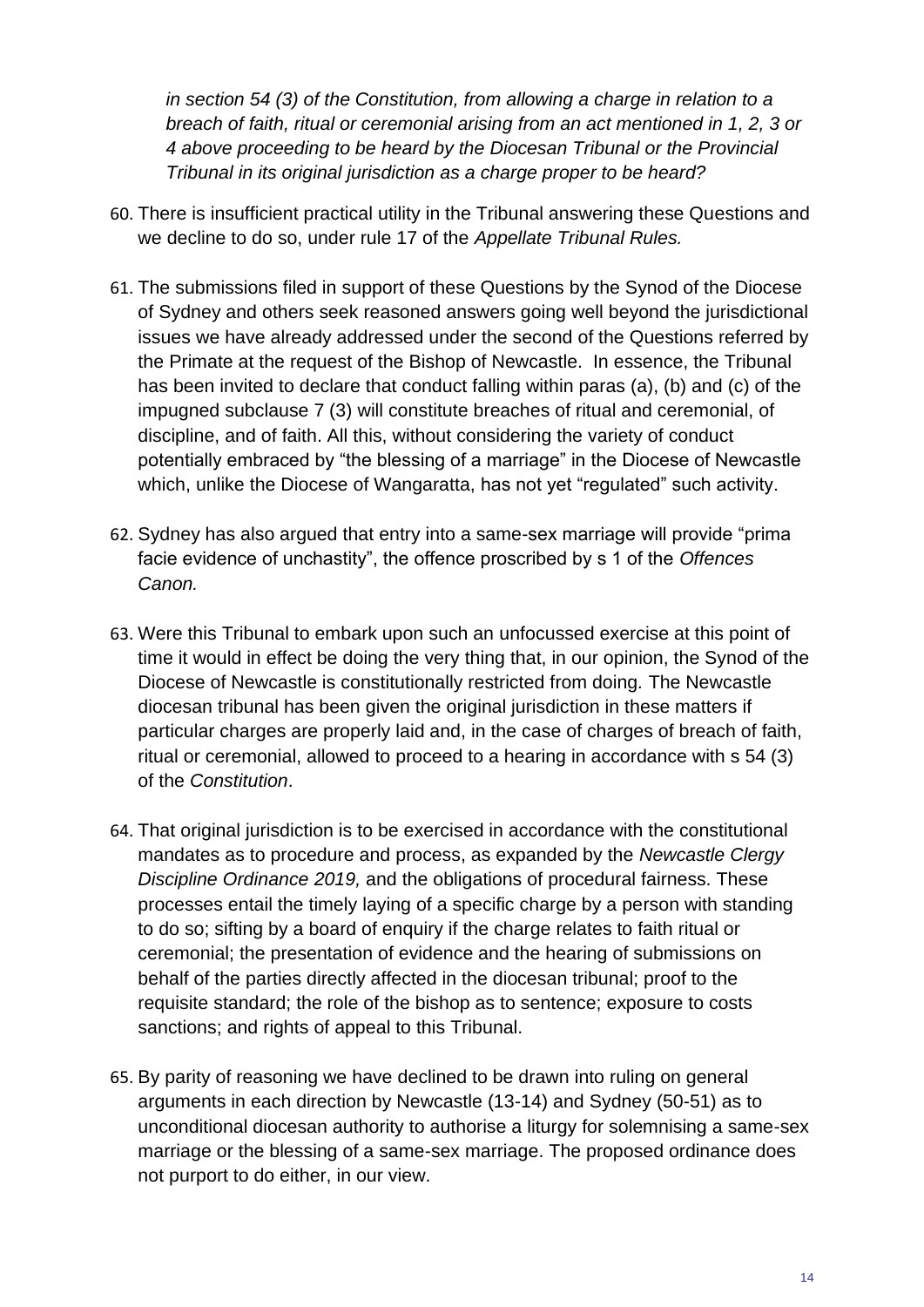*in section 54 (3) of the Constitution, from allowing a charge in relation to a breach of faith, ritual or ceremonial arising from an act mentioned in 1, 2, 3 or 4 above proceeding to be heard by the Diocesan Tribunal or the Provincial Tribunal in its original jurisdiction as a charge proper to be heard?*

- 60. There is insufficient practical utility in the Tribunal answering these Questions and we decline to do so, under rule 17 of the *Appellate Tribunal Rules.*
- 61. The submissions filed in support of these Questions by the Synod of the Diocese of Sydney and others seek reasoned answers going well beyond the jurisdictional issues we have already addressed under the second of the Questions referred by the Primate at the request of the Bishop of Newcastle. In essence, the Tribunal has been invited to declare that conduct falling within paras (a), (b) and (c) of the impugned subclause 7 (3) will constitute breaches of ritual and ceremonial, of discipline, and of faith. All this, without considering the variety of conduct potentially embraced by "the blessing of a marriage" in the Diocese of Newcastle which, unlike the Diocese of Wangaratta, has not yet "regulated" such activity.
- 62. Sydney has also argued that entry into a same-sex marriage will provide "prima facie evidence of unchastity", the offence proscribed by s 1 of the *Offences Canon.*
- 63. Were this Tribunal to embark upon such an unfocussed exercise at this point of time it would in effect be doing the very thing that, in our opinion, the Synod of the Diocese of Newcastle is constitutionally restricted from doing*.* The Newcastle diocesan tribunal has been given the original jurisdiction in these matters if particular charges are properly laid and, in the case of charges of breach of faith, ritual or ceremonial, allowed to proceed to a hearing in accordance with s 54 (3) of the *Constitution*.
- 64. That original jurisdiction is to be exercised in accordance with the constitutional mandates as to procedure and process, as expanded by the *Newcastle Clergy Discipline Ordinance 2019,* and the obligations of procedural fairness. These processes entail the timely laying of a specific charge by a person with standing to do so; sifting by a board of enquiry if the charge relates to faith ritual or ceremonial; the presentation of evidence and the hearing of submissions on behalf of the parties directly affected in the diocesan tribunal; proof to the requisite standard; the role of the bishop as to sentence; exposure to costs sanctions; and rights of appeal to this Tribunal.
- 65. By parity of reasoning we have declined to be drawn into ruling on general arguments in each direction by Newcastle (13-14) and Sydney (50-51) as to unconditional diocesan authority to authorise a liturgy for solemnising a same-sex marriage or the blessing of a same-sex marriage. The proposed ordinance does not purport to do either, in our view.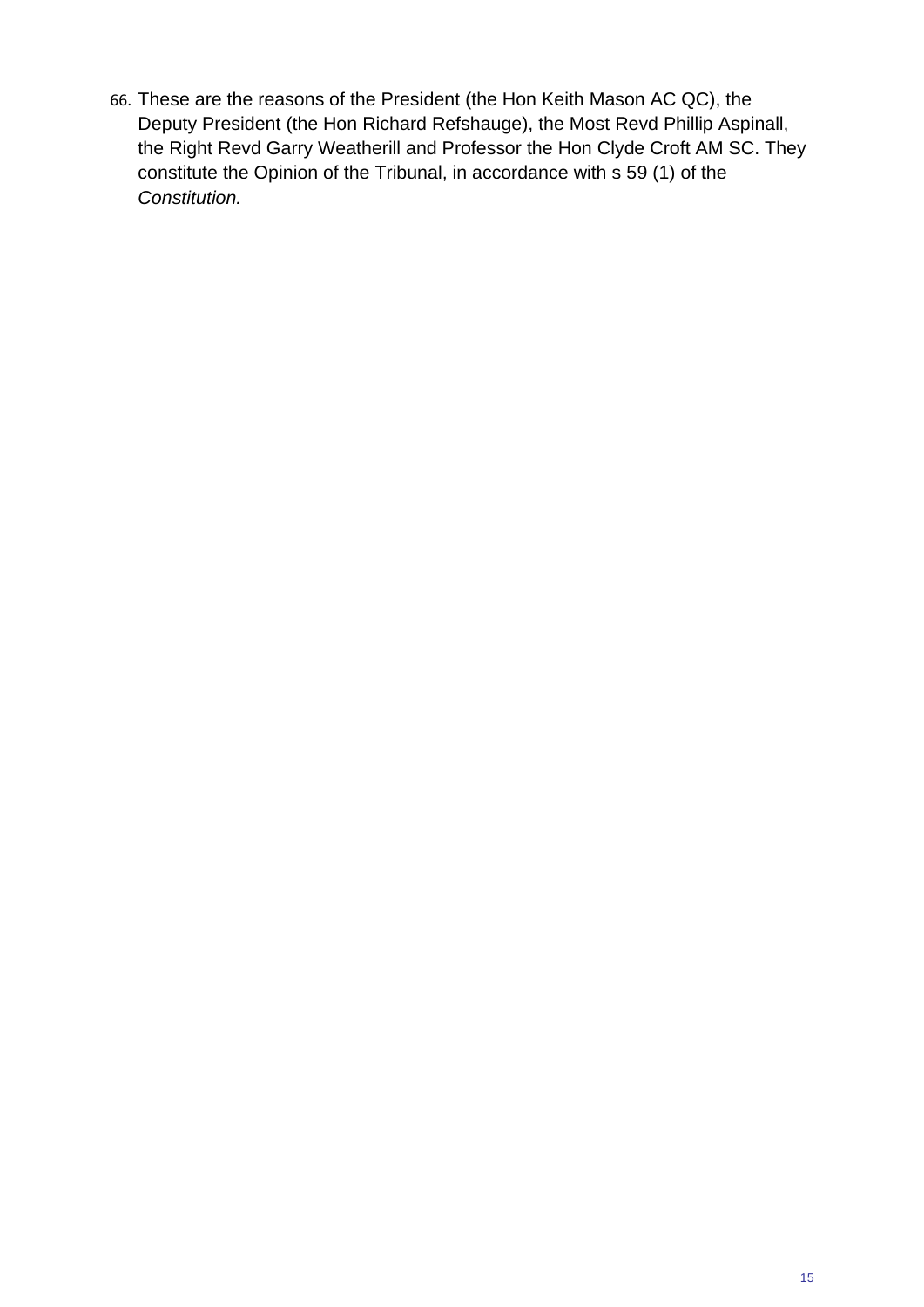66. These are the reasons of the President (the Hon Keith Mason AC QC), the Deputy President (the Hon Richard Refshauge), the Most Revd Phillip Aspinall, the Right Revd Garry Weatherill and Professor the Hon Clyde Croft AM SC. They constitute the Opinion of the Tribunal, in accordance with s 59 (1) of the *Constitution.*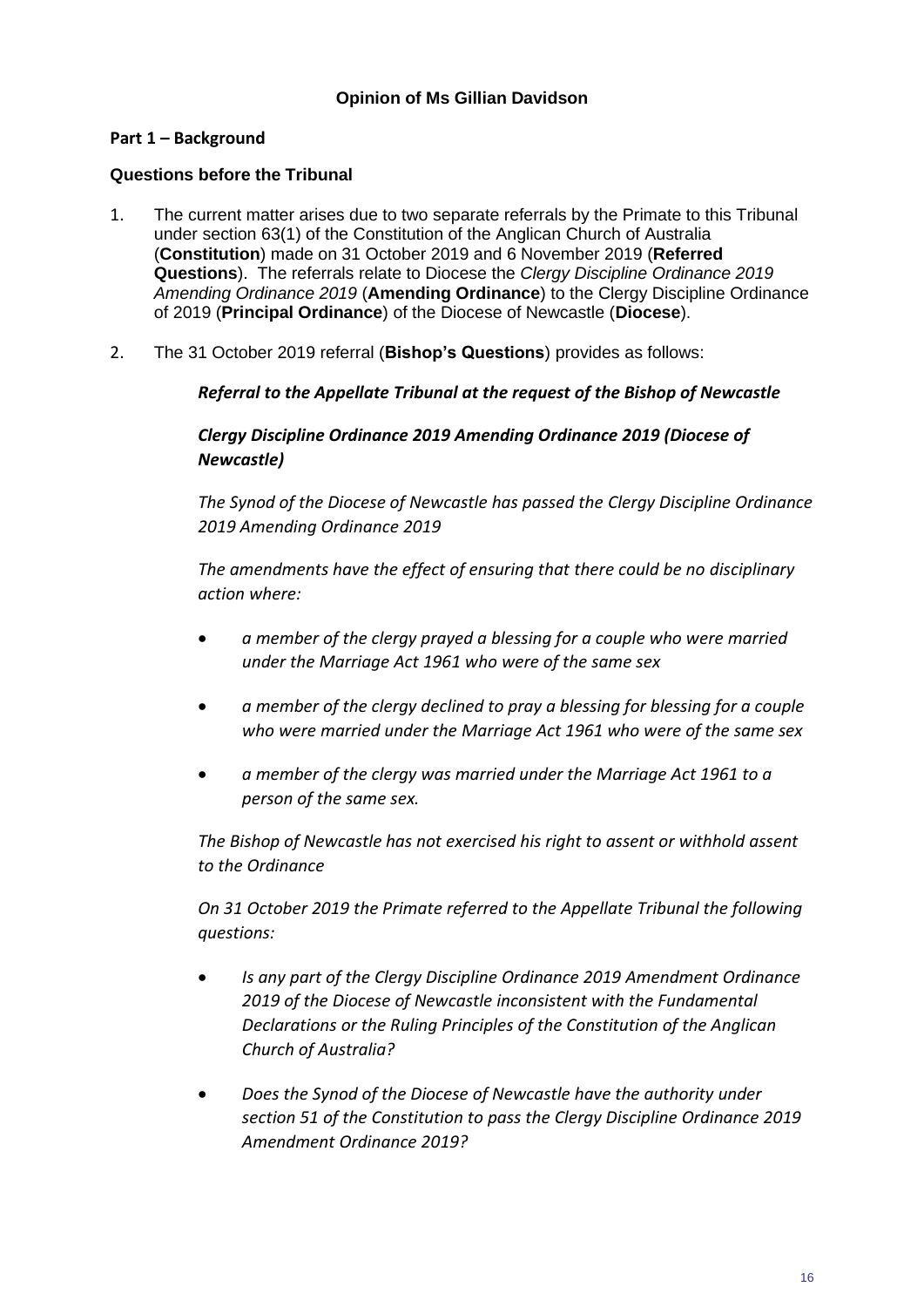### **Part 1 – Background**

#### **Questions before the Tribunal**

- 1. The current matter arises due to two separate referrals by the Primate to this Tribunal under section 63(1) of the Constitution of the Anglican Church of Australia (**Constitution**) made on 31 October 2019 and 6 November 2019 (**Referred Questions**). The referrals relate to Diocese the *Clergy Discipline Ordinance 2019 Amending Ordinance 2019* (**Amending Ordinance**) to the Clergy Discipline Ordinance of 2019 (**Principal Ordinance**) of the Diocese of Newcastle (**Diocese**).
- 2. The 31 October 2019 referral (**Bishop's Questions**) provides as follows:

#### *Referral to the Appellate Tribunal at the request of the Bishop of Newcastle*

*Clergy Discipline Ordinance 2019 Amending Ordinance 2019 (Diocese of Newcastle)*

*The Synod of the Diocese of Newcastle has passed the Clergy Discipline Ordinance 2019 Amending Ordinance 2019*

*The amendments have the effect of ensuring that there could be no disciplinary action where:*

- *a member of the clergy prayed a blessing for a couple who were married under the Marriage Act 1961 who were of the same sex*
- *a member of the clergy declined to pray a blessing for blessing for a couple who were married under the Marriage Act 1961 who were of the same sex*
- *a member of the clergy was married under the Marriage Act 1961 to a person of the same sex.*

*The Bishop of Newcastle has not exercised his right to assent or withhold assent to the Ordinance*

*On 31 October 2019 the Primate referred to the Appellate Tribunal the following questions:*

- *Is any part of the Clergy Discipline Ordinance 2019 Amendment Ordinance 2019 of the Diocese of Newcastle inconsistent with the Fundamental Declarations or the Ruling Principles of the Constitution of the Anglican Church of Australia?*
- *Does the Synod of the Diocese of Newcastle have the authority under section 51 of the Constitution to pass the Clergy Discipline Ordinance 2019 Amendment Ordinance 2019?*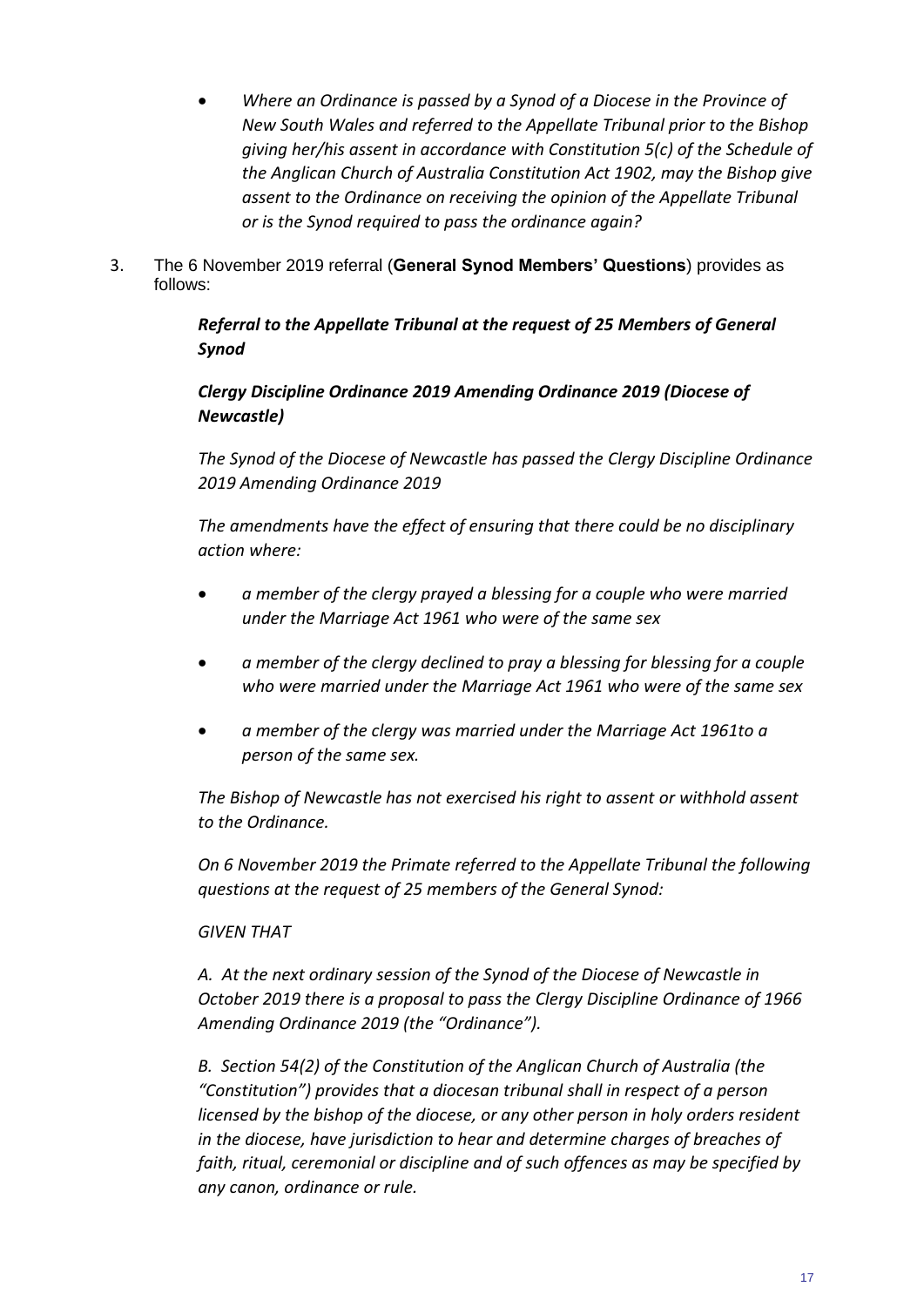- *Where an Ordinance is passed by a Synod of a Diocese in the Province of New South Wales and referred to the Appellate Tribunal prior to the Bishop giving her/his assent in accordance with Constitution 5(c) of the Schedule of the Anglican Church of Australia Constitution Act 1902, may the Bishop give assent to the Ordinance on receiving the opinion of the Appellate Tribunal or is the Synod required to pass the ordinance again?*
- 3. The 6 November 2019 referral (**General Synod Members' Questions**) provides as follows:

*Referral to the Appellate Tribunal at the request of 25 Members of General Synod*

*Clergy Discipline Ordinance 2019 Amending Ordinance 2019 (Diocese of Newcastle)*

*The Synod of the Diocese of Newcastle has passed the Clergy Discipline Ordinance 2019 Amending Ordinance 2019*

*The amendments have the effect of ensuring that there could be no disciplinary action where:*

- *a member of the clergy prayed a blessing for a couple who were married under the Marriage Act 1961 who were of the same sex*
- *a member of the clergy declined to pray a blessing for blessing for a couple who were married under the Marriage Act 1961 who were of the same sex*
- *a member of the clergy was married under the Marriage Act 1961to a person of the same sex.*

*The Bishop of Newcastle has not exercised his right to assent or withhold assent to the Ordinance.*

*On 6 November 2019 the Primate referred to the Appellate Tribunal the following questions at the request of 25 members of the General Synod:*

## *GIVEN THAT*

*A. At the next ordinary session of the Synod of the Diocese of Newcastle in October 2019 there is a proposal to pass the Clergy Discipline Ordinance of 1966 Amending Ordinance 2019 (the "Ordinance").*

*B. Section 54(2) of the Constitution of the Anglican Church of Australia (the "Constitution") provides that a diocesan tribunal shall in respect of a person licensed by the bishop of the diocese, or any other person in holy orders resident in the diocese, have jurisdiction to hear and determine charges of breaches of faith, ritual, ceremonial or discipline and of such offences as may be specified by any canon, ordinance or rule.*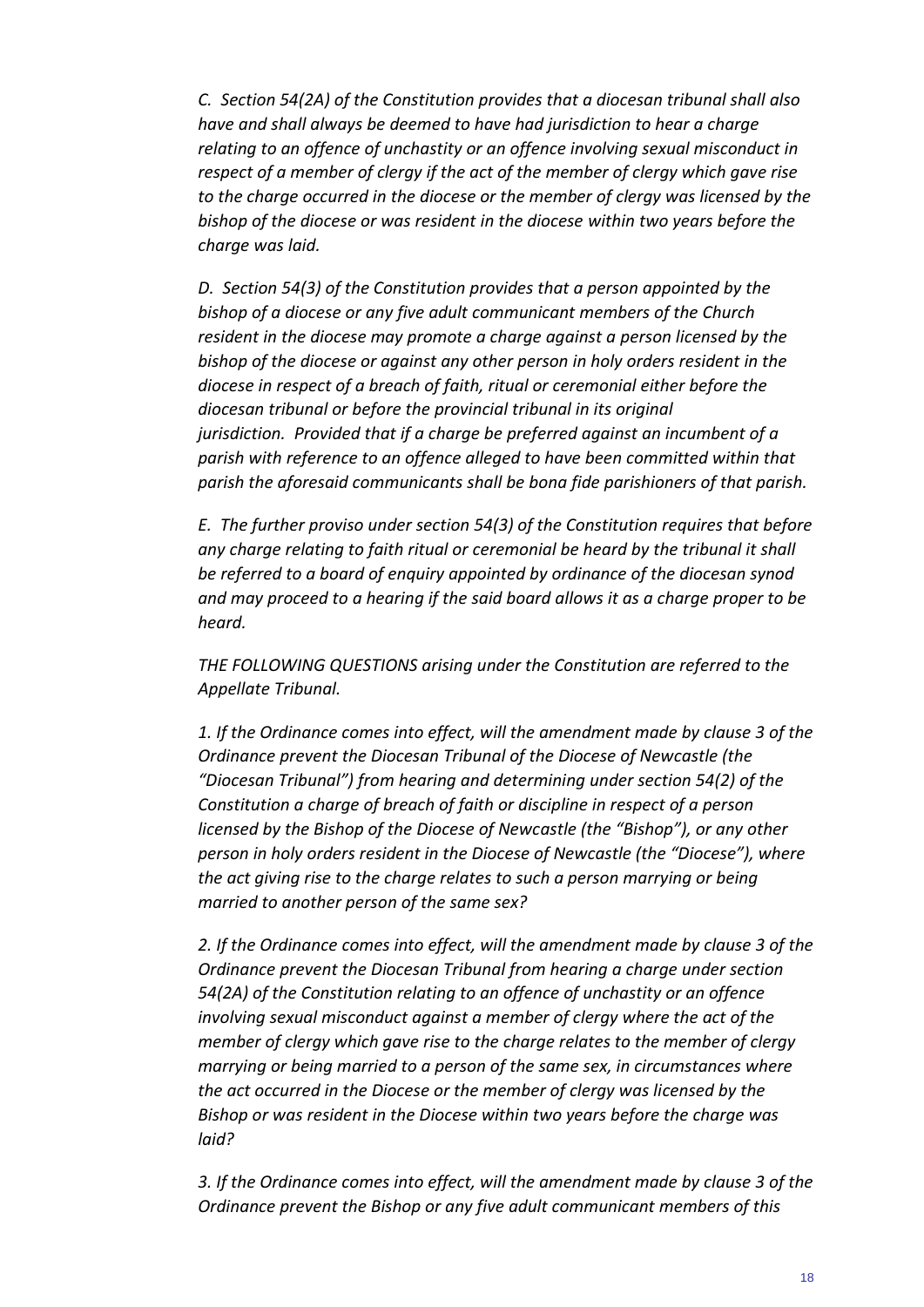*C. Section 54(2A) of the Constitution provides that a diocesan tribunal shall also have and shall always be deemed to have had jurisdiction to hear a charge relating to an offence of unchastity or an offence involving sexual misconduct in respect of a member of clergy if the act of the member of clergy which gave rise to the charge occurred in the diocese or the member of clergy was licensed by the bishop of the diocese or was resident in the diocese within two years before the charge was laid.*

*D. Section 54(3) of the Constitution provides that a person appointed by the bishop of a diocese or any five adult communicant members of the Church resident in the diocese may promote a charge against a person licensed by the bishop of the diocese or against any other person in holy orders resident in the diocese in respect of a breach of faith, ritual or ceremonial either before the diocesan tribunal or before the provincial tribunal in its original jurisdiction. Provided that if a charge be preferred against an incumbent of a parish with reference to an offence alleged to have been committed within that parish the aforesaid communicants shall be bona fide parishioners of that parish.*

*E. The further proviso under section 54(3) of the Constitution requires that before any charge relating to faith ritual or ceremonial be heard by the tribunal it shall be referred to a board of enquiry appointed by ordinance of the diocesan synod and may proceed to a hearing if the said board allows it as a charge proper to be heard.*

*THE FOLLOWING QUESTIONS arising under the Constitution are referred to the Appellate Tribunal.*

*1. If the Ordinance comes into effect, will the amendment made by clause 3 of the Ordinance prevent the Diocesan Tribunal of the Diocese of Newcastle (the "Diocesan Tribunal") from hearing and determining under section 54(2) of the Constitution a charge of breach of faith or discipline in respect of a person licensed by the Bishop of the Diocese of Newcastle (the "Bishop"), or any other person in holy orders resident in the Diocese of Newcastle (the "Diocese"), where the act giving rise to the charge relates to such a person marrying or being married to another person of the same sex?*

*2. If the Ordinance comes into effect, will the amendment made by clause 3 of the Ordinance prevent the Diocesan Tribunal from hearing a charge under section 54(2A) of the Constitution relating to an offence of unchastity or an offence involving sexual misconduct against a member of clergy where the act of the member of clergy which gave rise to the charge relates to the member of clergy marrying or being married to a person of the same sex, in circumstances where the act occurred in the Diocese or the member of clergy was licensed by the Bishop or was resident in the Diocese within two years before the charge was laid?*

*3. If the Ordinance comes into effect, will the amendment made by clause 3 of the Ordinance prevent the Bishop or any five adult communicant members of this*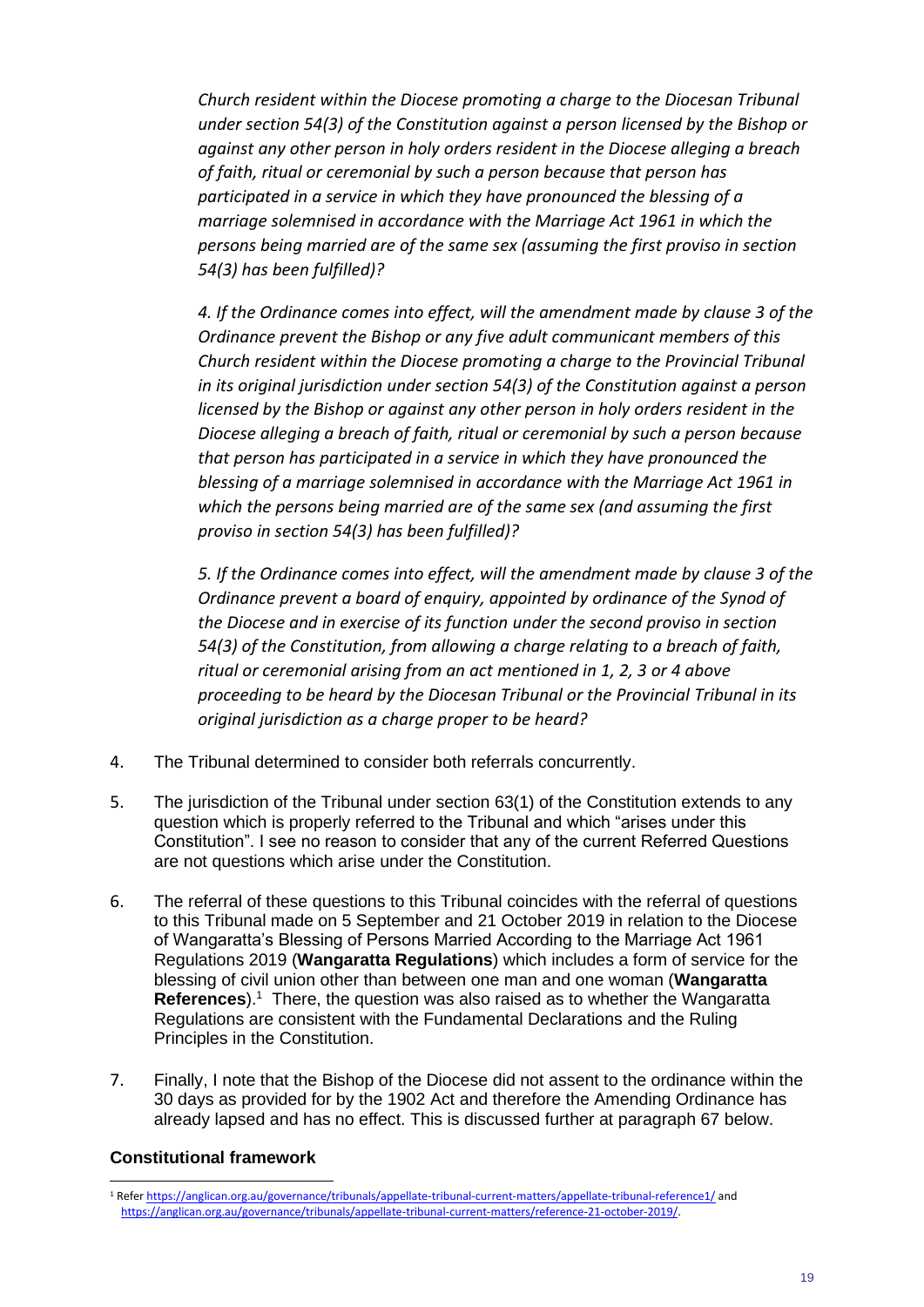*Church resident within the Diocese promoting a charge to the Diocesan Tribunal under section 54(3) of the Constitution against a person licensed by the Bishop or against any other person in holy orders resident in the Diocese alleging a breach of faith, ritual or ceremonial by such a person because that person has participated in a service in which they have pronounced the blessing of a marriage solemnised in accordance with the Marriage Act 1961 in which the persons being married are of the same sex (assuming the first proviso in section 54(3) has been fulfilled)?*

*4. If the Ordinance comes into effect, will the amendment made by clause 3 of the Ordinance prevent the Bishop or any five adult communicant members of this Church resident within the Diocese promoting a charge to the Provincial Tribunal in its original jurisdiction under section 54(3) of the Constitution against a person licensed by the Bishop or against any other person in holy orders resident in the Diocese alleging a breach of faith, ritual or ceremonial by such a person because that person has participated in a service in which they have pronounced the blessing of a marriage solemnised in accordance with the Marriage Act 1961 in which the persons being married are of the same sex (and assuming the first proviso in section 54(3) has been fulfilled)?*

*5. If the Ordinance comes into effect, will the amendment made by clause 3 of the Ordinance prevent a board of enquiry, appointed by ordinance of the Synod of the Diocese and in exercise of its function under the second proviso in section 54(3) of the Constitution, from allowing a charge relating to a breach of faith, ritual or ceremonial arising from an act mentioned in 1, 2, 3 or 4 above proceeding to be heard by the Diocesan Tribunal or the Provincial Tribunal in its original jurisdiction as a charge proper to be heard?*

- 4. The Tribunal determined to consider both referrals concurrently.
- 5. The jurisdiction of the Tribunal under section 63(1) of the Constitution extends to any question which is properly referred to the Tribunal and which "arises under this Constitution". I see no reason to consider that any of the current Referred Questions are not questions which arise under the Constitution.
- 6. The referral of these questions to this Tribunal coincides with the referral of questions to this Tribunal made on 5 September and 21 October 2019 in relation to the Diocese of Wangaratta's Blessing of Persons Married According to the Marriage Act 1961 Regulations 2019 (**Wangaratta Regulations**) which includes a form of service for the blessing of civil union other than between one man and one woman (**Wangaratta**  References).<sup>1</sup> There, the question was also raised as to whether the Wangaratta Regulations are consistent with the Fundamental Declarations and the Ruling Principles in the Constitution.
- 7. Finally, I note that the Bishop of the Diocese did not assent to the ordinance within the 30 days as provided for by the 1902 Act and therefore the Amending Ordinance has already lapsed and has no effect. This is discussed further at paragraph [67](#page-31-0) below.

#### **Constitutional framework**

<sup>1</sup> Refe[r https://anglican.org.au/governance/tribunals/appellate-tribunal-current-matters/appellate-tribunal-reference1/](https://anglican.org.au/governance/tribunals/appellate-tribunal-current-matters/appellate-tribunal-reference1/) and [https://anglican.org.au/governance/tribunals/appellate-tribunal-current-matters/reference-21-october-2019/.](https://anglican.org.au/governance/tribunals/appellate-tribunal-current-matters/reference-21-october-2019/)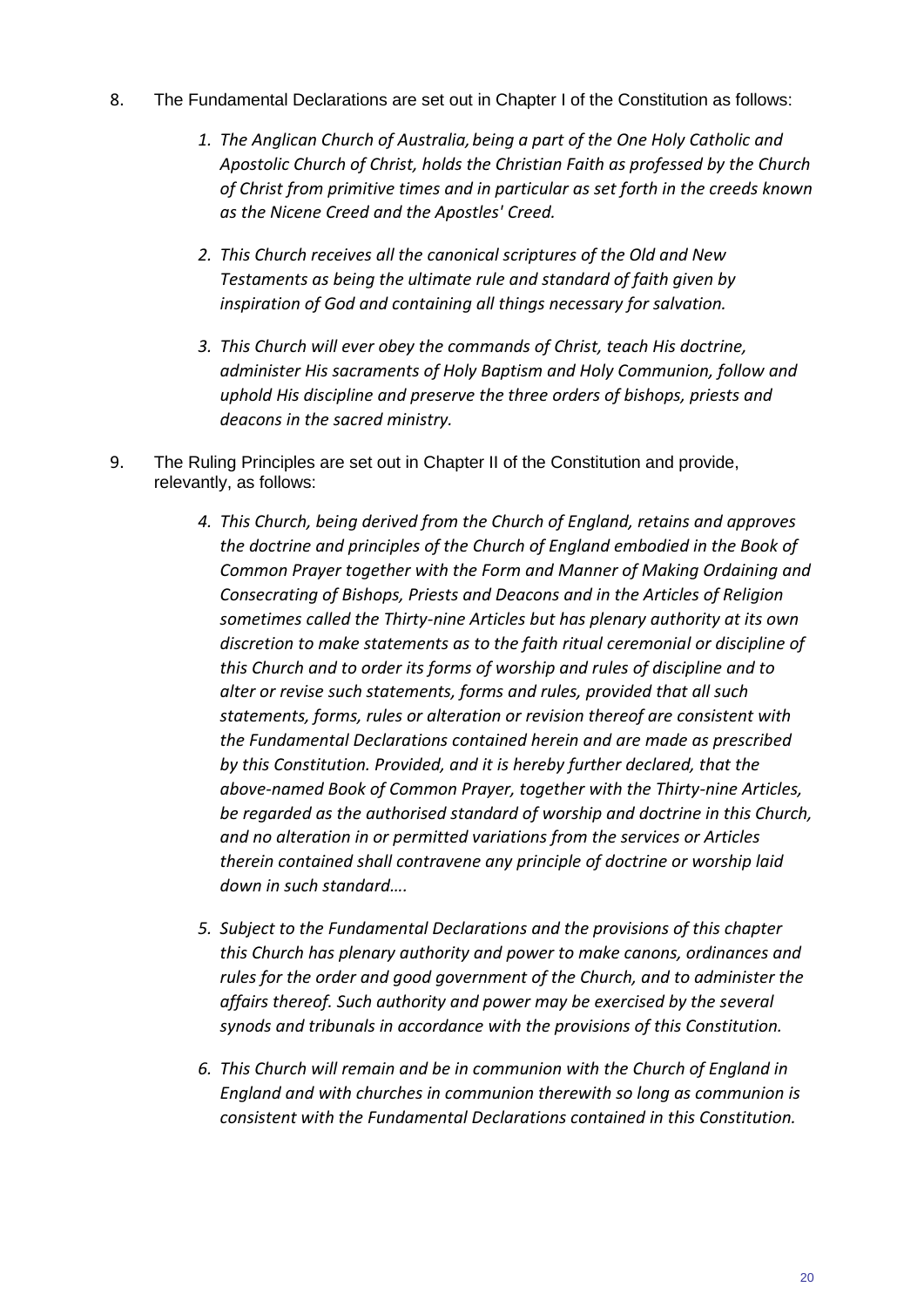- 8. The Fundamental Declarations are set out in Chapter I of the Constitution as follows:
	- *1. The Anglican Church of Australia,being a part of the One Holy Catholic and Apostolic Church of Christ, holds the Christian Faith as professed by the Church of Christ from primitive times and in particular as set forth in the creeds known as the Nicene Creed and the Apostles' Creed.*
	- *2. This Church receives all the canonical scriptures of the Old and New Testaments as being the ultimate rule and standard of faith given by inspiration of God and containing all things necessary for salvation.*
	- *3. This Church will ever obey the commands of Christ, teach His doctrine, administer His sacraments of Holy Baptism and Holy Communion, follow and uphold His discipline and preserve the three orders of bishops, priests and deacons in the sacred ministry.*
- 9. The Ruling Principles are set out in Chapter II of the Constitution and provide, relevantly, as follows:
	- *4. This Church, being derived from the Church of England, retains and approves the doctrine and principles of the Church of England embodied in the Book of Common Prayer together with the Form and Manner of Making Ordaining and Consecrating of Bishops, Priests and Deacons and in the Articles of Religion sometimes called the Thirty-nine Articles but has plenary authority at its own discretion to make statements as to the faith ritual ceremonial or discipline of this Church and to order its forms of worship and rules of discipline and to alter or revise such statements, forms and rules, provided that all such statements, forms, rules or alteration or revision thereof are consistent with the Fundamental Declarations contained herein and are made as prescribed by this Constitution. Provided, and it is hereby further declared, that the above-named Book of Common Prayer, together with the Thirty-nine Articles, be regarded as the authorised standard of worship and doctrine in this Church, and no alteration in or permitted variations from the services or Articles therein contained shall contravene any principle of doctrine or worship laid down in such standard….*
	- *5. Subject to the Fundamental Declarations and the provisions of this chapter this Church has plenary authority and power to make canons, ordinances and rules for the order and good government of the Church, and to administer the affairs thereof. Such authority and power may be exercised by the several synods and tribunals in accordance with the provisions of this Constitution.*
	- *6. This Church will remain and be in communion with the Church of England in England and with churches in communion therewith so long as communion is consistent with the Fundamental Declarations contained in this Constitution.*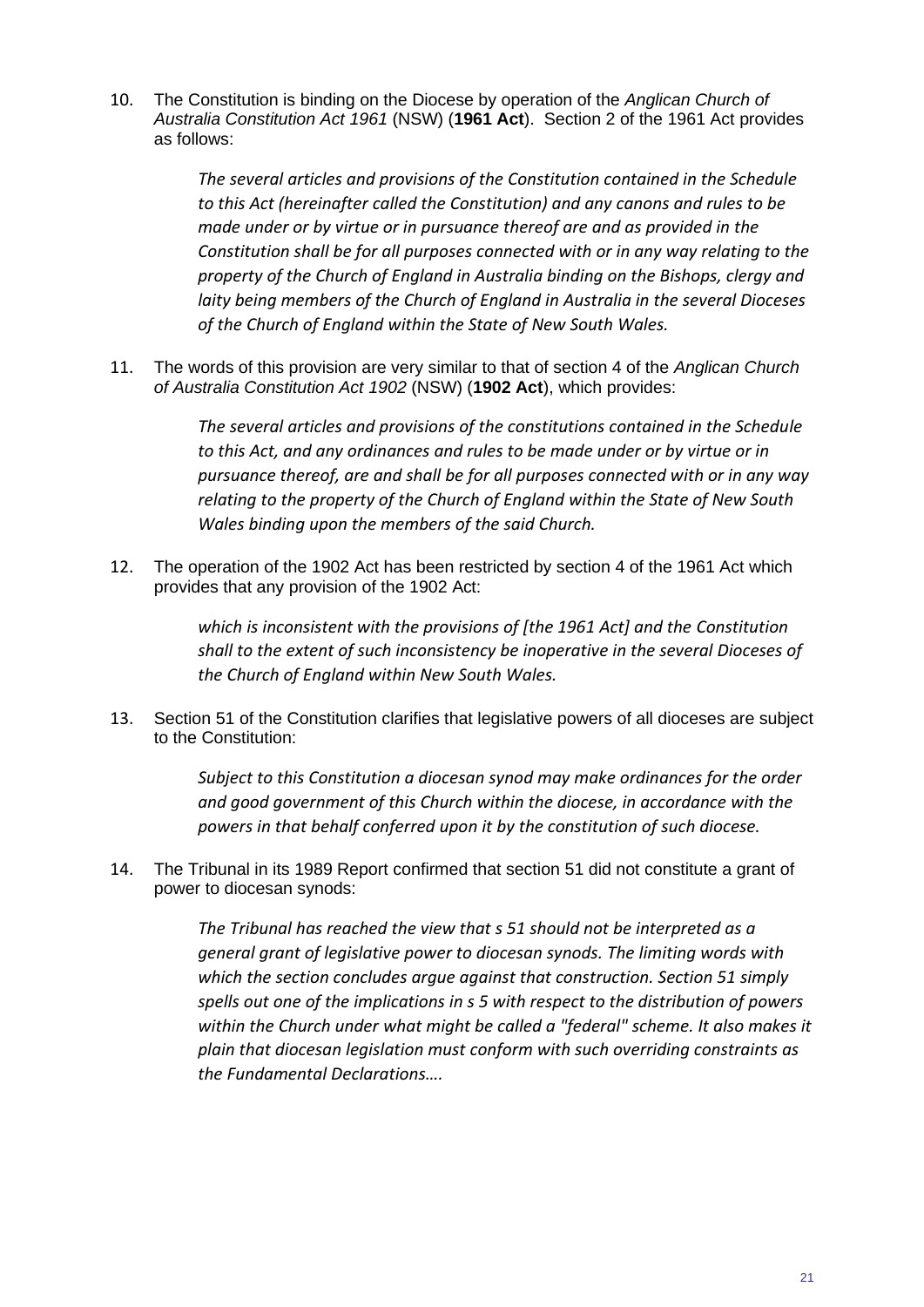10. The Constitution is binding on the Diocese by operation of the *Anglican Church of Australia Constitution Act 1961* (NSW) (**1961 Act**). Section 2 of the 1961 Act provides as follows:

> *The several articles and provisions of the Constitution contained in the Schedule to this Act (hereinafter called the Constitution) and any canons and rules to be made under or by virtue or in pursuance thereof are and as provided in the Constitution shall be for all purposes connected with or in any way relating to the property of the Church of England in Australia binding on the Bishops, clergy and laity being members of the Church of England in Australia in the several Dioceses of the Church of England within the State of New South Wales.*

11. The words of this provision are very similar to that of section 4 of the *Anglican Church of Australia Constitution Act 1902* (NSW) (**1902 Act**), which provides:

> *The several articles and provisions of the constitutions contained in the Schedule to this Act, and any ordinances and rules to be made under or by virtue or in pursuance thereof, are and shall be for all purposes connected with or in any way relating to the property of the Church of England within the State of New South Wales binding upon the members of the said Church.*

12. The operation of the 1902 Act has been restricted by section 4 of the 1961 Act which provides that any provision of the 1902 Act:

> *which is inconsistent with the provisions of [the 1961 Act] and the Constitution shall to the extent of such inconsistency be inoperative in the several Dioceses of the Church of England within New South Wales.*

<span id="page-21-0"></span>13. Section 51 of the Constitution clarifies that legislative powers of all dioceses are subject to the Constitution:

> *Subject to this Constitution a diocesan synod may make ordinances for the order and good government of this Church within the diocese, in accordance with the powers in that behalf conferred upon it by the constitution of such diocese.*

<span id="page-21-1"></span>14. The Tribunal in its 1989 Report confirmed that section 51 did not constitute a grant of power to diocesan synods:

> *The Tribunal has reached the view that s 51 should not be interpreted as a general grant of legislative power to diocesan synods. The limiting words with which the section concludes argue against that construction. Section 51 simply spells out one of the implications in s 5 with respect to the distribution of powers within the Church under what might be called a "federal" scheme. It also makes it plain that diocesan legislation must conform with such overriding constraints as the Fundamental Declarations….*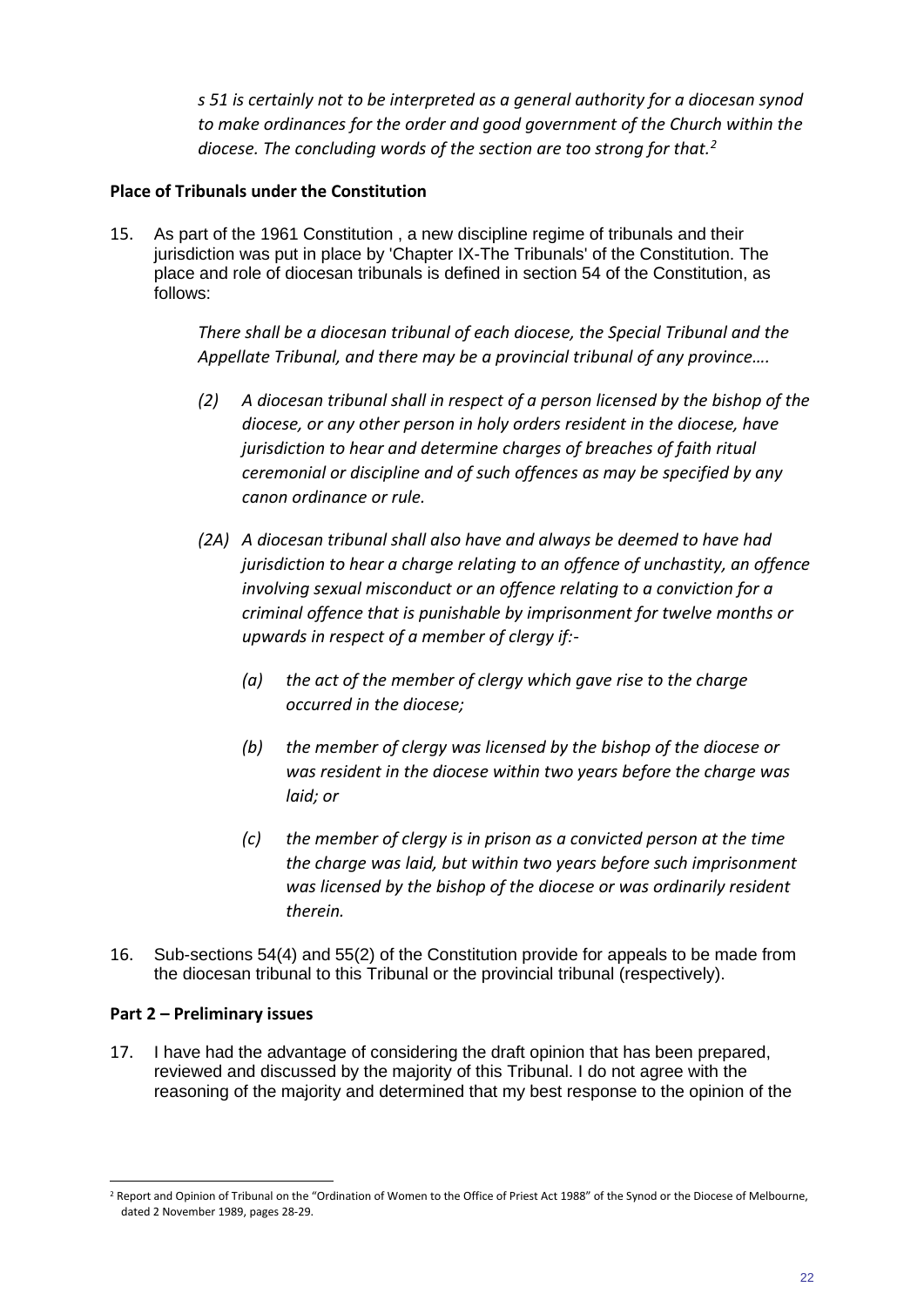*s 51 is certainly not to be interpreted as a general authority for a diocesan synod to make ordinances for the order and good government of the Church within the diocese. The concluding words of the section are too strong for that.<sup>2</sup>*

### **Place of Tribunals under the Constitution**

15. As part of the 1961 Constitution , a new discipline regime of tribunals and their jurisdiction was put in place by 'Chapter IX-The Tribunals' of the Constitution. The place and role of diocesan tribunals is defined in section 54 of the Constitution, as follows:

> <span id="page-22-0"></span>*There shall be a diocesan tribunal of each diocese, the Special Tribunal and the Appellate Tribunal, and there may be a provincial tribunal of any province….*

- *(2) A diocesan tribunal shall in respect of a person licensed by the bishop of the diocese, or any other person in holy orders resident in the diocese, have jurisdiction to hear and determine charges of breaches of faith ritual ceremonial or discipline and of such offences as may be specified by any canon ordinance or rule.*
- *(2A) A diocesan tribunal shall also have and always be deemed to have had jurisdiction to hear a charge relating to an offence of unchastity, an offence involving sexual misconduct or an offence relating to a conviction for a criminal offence that is punishable by imprisonment for twelve months or upwards in respect of a member of clergy if:-*
	- *(a) the act of the member of clergy which gave rise to the charge occurred in the diocese;*
	- *(b) the member of clergy was licensed by the bishop of the diocese or was resident in the diocese within two years before the charge was laid; or*
	- *(c) the member of clergy is in prison as a convicted person at the time the charge was laid, but within two years before such imprisonment was licensed by the bishop of the diocese or was ordinarily resident therein.*
- 16. Sub-sections 54(4) and 55(2) of the Constitution provide for appeals to be made from the diocesan tribunal to this Tribunal or the provincial tribunal (respectively).

#### **Part 2 – Preliminary issues**

17. I have had the advantage of considering the draft opinion that has been prepared, reviewed and discussed by the majority of this Tribunal. I do not agree with the reasoning of the majority and determined that my best response to the opinion of the

<sup>&</sup>lt;sup>2</sup> Report and Opinion of Tribunal on the "Ordination of Women to the Office of Priest Act 1988" of the Synod or the Diocese of Melbourne, dated 2 November 1989, pages 28-29.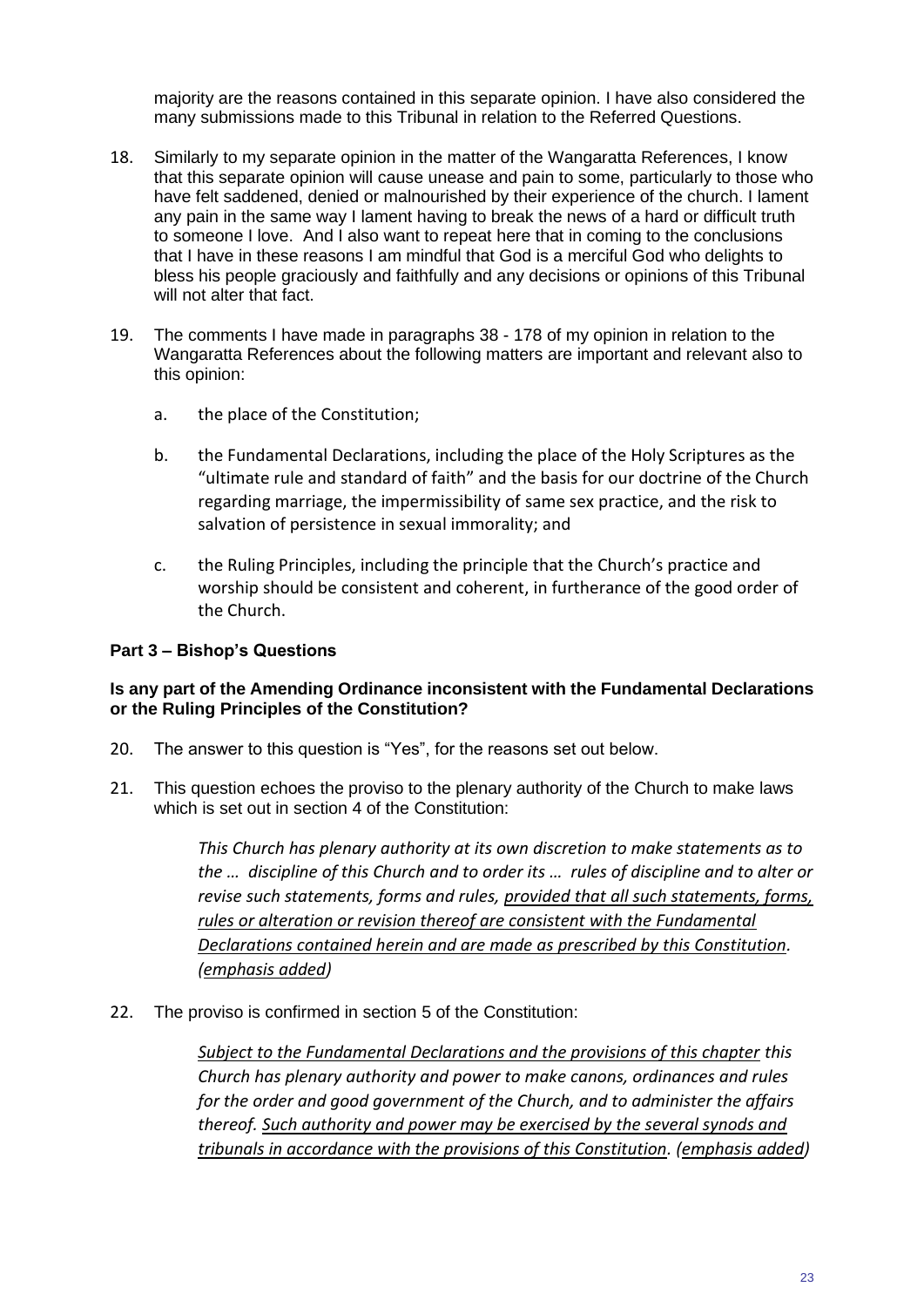majority are the reasons contained in this separate opinion. I have also considered the many submissions made to this Tribunal in relation to the Referred Questions.

- 18. Similarly to my separate opinion in the matter of the Wangaratta References, I know that this separate opinion will cause unease and pain to some, particularly to those who have felt saddened, denied or malnourished by their experience of the church. I lament any pain in the same way I lament having to break the news of a hard or difficult truth to someone I love. And I also want to repeat here that in coming to the conclusions that I have in these reasons I am mindful that God is a merciful God who delights to bless his people graciously and faithfully and any decisions or opinions of this Tribunal will not alter that fact.
- 19. The comments I have made in paragraphs 38 178 of my opinion in relation to the Wangaratta References about the following matters are important and relevant also to this opinion:
	- a. the place of the Constitution;
	- b. the Fundamental Declarations, including the place of the Holy Scriptures as the "ultimate rule and standard of faith" and the basis for our doctrine of the Church regarding marriage, the impermissibility of same sex practice, and the risk to salvation of persistence in sexual immorality; and
	- c. the Ruling Principles, including the principle that the Church's practice and worship should be consistent and coherent, in furtherance of the good order of the Church.

### **Part 3 – Bishop's Questions**

#### **Is any part of the Amending Ordinance inconsistent with the Fundamental Declarations or the Ruling Principles of the Constitution?**

- 20. The answer to this question is "Yes", for the reasons set out below.
- 21. This question echoes the proviso to the plenary authority of the Church to make laws which is set out in section 4 of the Constitution:

*This Church has plenary authority at its own discretion to make statements as to the … discipline of this Church and to order its … rules of discipline and to alter or revise such statements, forms and rules, provided that all such statements, forms, rules or alteration or revision thereof are consistent with the Fundamental Declarations contained herein and are made as prescribed by this Constitution. (emphasis added)*

22. The proviso is confirmed in section 5 of the Constitution:

*Subject to the Fundamental Declarations and the provisions of this chapter this Church has plenary authority and power to make canons, ordinances and rules for the order and good government of the Church, and to administer the affairs thereof. Such authority and power may be exercised by the several synods and tribunals in accordance with the provisions of this Constitution. (emphasis added)*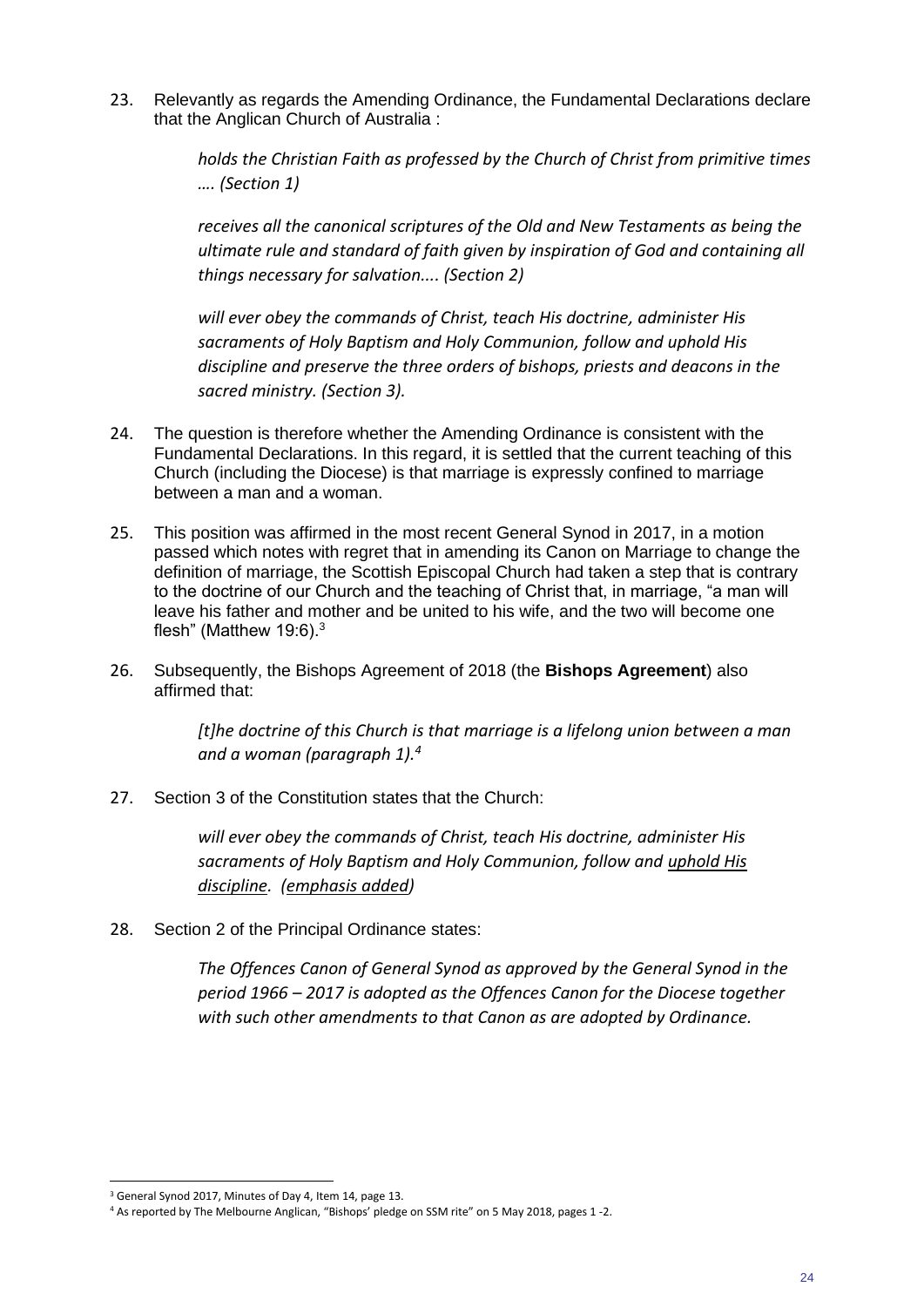<span id="page-24-0"></span>23. Relevantly as regards the Amending Ordinance, the Fundamental Declarations declare that the Anglican Church of Australia :

> *holds the Christian Faith as professed by the Church of Christ from primitive times …. (Section 1)*

*receives all the canonical scriptures of the Old and New Testaments as being the ultimate rule and standard of faith given by inspiration of God and containing all things necessary for salvation.... (Section 2)*

*will ever obey the commands of Christ, teach His doctrine, administer His sacraments of Holy Baptism and Holy Communion, follow and uphold His discipline and preserve the three orders of bishops, priests and deacons in the sacred ministry. (Section 3).*

- 24. The question is therefore whether the Amending Ordinance is consistent with the Fundamental Declarations. In this regard, it is settled that the current teaching of this Church (including the Diocese) is that marriage is expressly confined to marriage between a man and a woman.
- 25. This position was affirmed in the most recent General Synod in 2017, in a motion passed which notes with regret that in amending its Canon on Marriage to change the definition of marriage, the Scottish Episcopal Church had taken a step that is contrary to the doctrine of our Church and the teaching of Christ that, in marriage, "a man will leave his father and mother and be united to his wife, and the two will become one flesh" (Matthew 19:6). $3$
- 26. Subsequently, the Bishops Agreement of 2018 (the **Bishops Agreement**) also affirmed that:

<span id="page-24-1"></span>*[t]he doctrine of this Church is that marriage is a lifelong union between a man and a woman (paragraph 1).<sup>4</sup>*

27. Section 3 of the Constitution states that the Church:

*will ever obey the commands of Christ, teach His doctrine, administer His sacraments of Holy Baptism and Holy Communion, follow and uphold His discipline. (emphasis added)*

28. Section 2 of the Principal Ordinance states:

*The Offences Canon of General Synod as approved by the General Synod in the period 1966 – 2017 is adopted as the Offences Canon for the Diocese together with such other amendments to that Canon as are adopted by Ordinance.* 

<sup>3</sup> General Synod 2017, Minutes of Day 4, Item 14, page 13.

<sup>4</sup> As reported by The Melbourne Anglican, "Bishops' pledge on SSM rite" on 5 May 2018, pages 1 -2.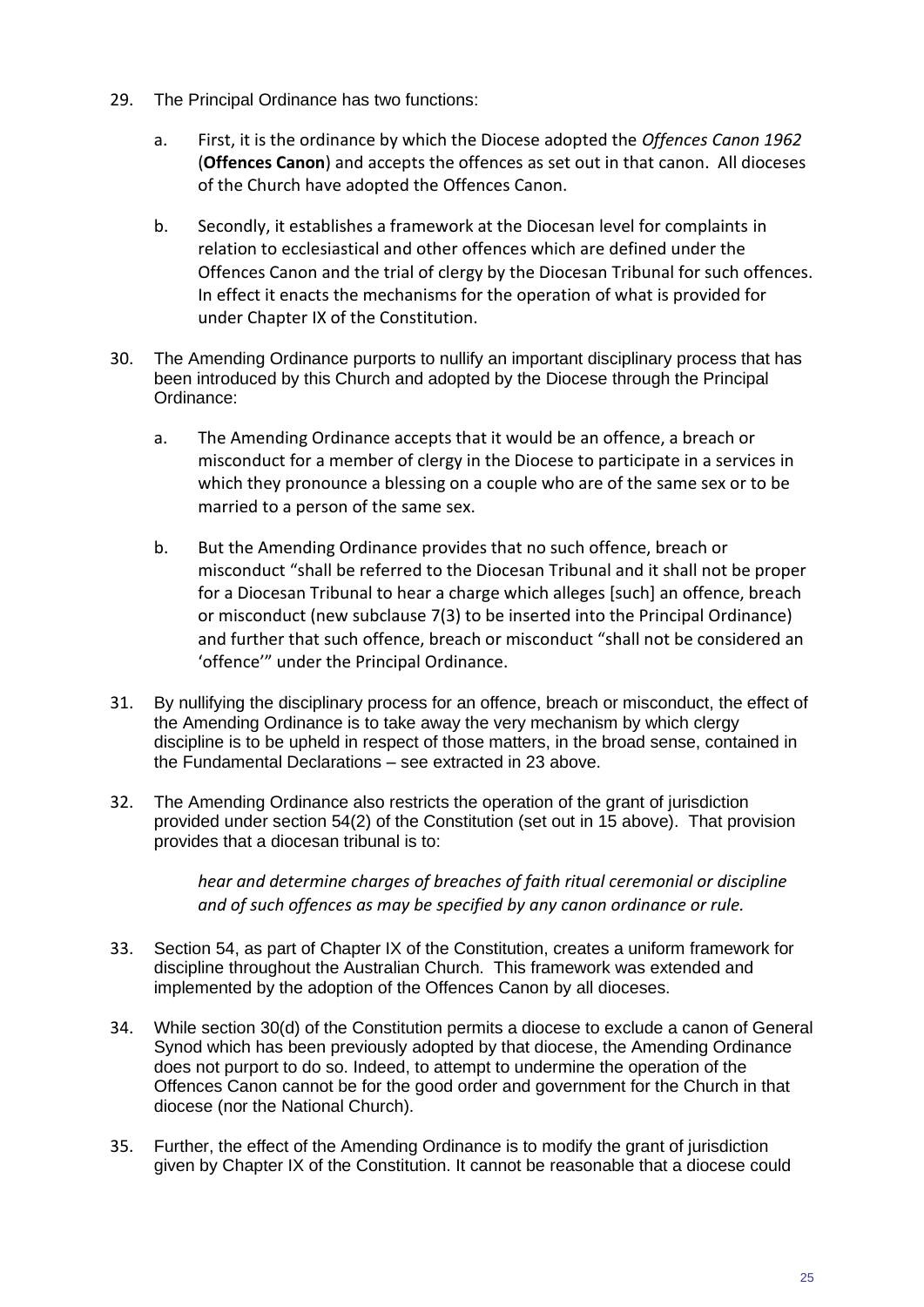- 29. The Principal Ordinance has two functions:
	- a. First, it is the ordinance by which the Diocese adopted the *Offences Canon 1962* (**Offences Canon**) and accepts the offences as set out in that canon. All dioceses of the Church have adopted the Offences Canon.
	- b. Secondly, it establishes a framework at the Diocesan level for complaints in relation to ecclesiastical and other offences which are defined under the Offences Canon and the trial of clergy by the Diocesan Tribunal for such offences. In effect it enacts the mechanisms for the operation of what is provided for under Chapter IX of the Constitution.
- <span id="page-25-0"></span>30. The Amending Ordinance purports to nullify an important disciplinary process that has been introduced by this Church and adopted by the Diocese through the Principal Ordinance:
	- a. The Amending Ordinance accepts that it would be an offence, a breach or misconduct for a member of clergy in the Diocese to participate in a services in which they pronounce a blessing on a couple who are of the same sex or to be married to a person of the same sex.
	- b. But the Amending Ordinance provides that no such offence, breach or misconduct "shall be referred to the Diocesan Tribunal and it shall not be proper for a Diocesan Tribunal to hear a charge which alleges [such] an offence, breach or misconduct (new subclause 7(3) to be inserted into the Principal Ordinance) and further that such offence, breach or misconduct "shall not be considered an 'offence'" under the Principal Ordinance.
- 31. By nullifying the disciplinary process for an offence, breach or misconduct, the effect of the Amending Ordinance is to take away the very mechanism by which clergy discipline is to be upheld in respect of those matters, in the broad sense, contained in the Fundamental Declarations – see extracted in [23](#page-24-0) above.
- <span id="page-25-1"></span>32. The Amending Ordinance also restricts the operation of the grant of jurisdiction provided under section 54(2) of the Constitution (set out in [15](#page-22-0) above). That provision provides that a diocesan tribunal is to:

*hear and determine charges of breaches of faith ritual ceremonial or discipline and of such offences as may be specified by any canon ordinance or rule.* 

- 33. Section 54, as part of Chapter IX of the Constitution, creates a uniform framework for discipline throughout the Australian Church. This framework was extended and implemented by the adoption of the Offences Canon by all dioceses.
- 34. While section 30(d) of the Constitution permits a diocese to exclude a canon of General Synod which has been previously adopted by that diocese, the Amending Ordinance does not purport to do so. Indeed, to attempt to undermine the operation of the Offences Canon cannot be for the good order and government for the Church in that diocese (nor the National Church).
- <span id="page-25-2"></span>35. Further, the effect of the Amending Ordinance is to modify the grant of jurisdiction given by Chapter IX of the Constitution. It cannot be reasonable that a diocese could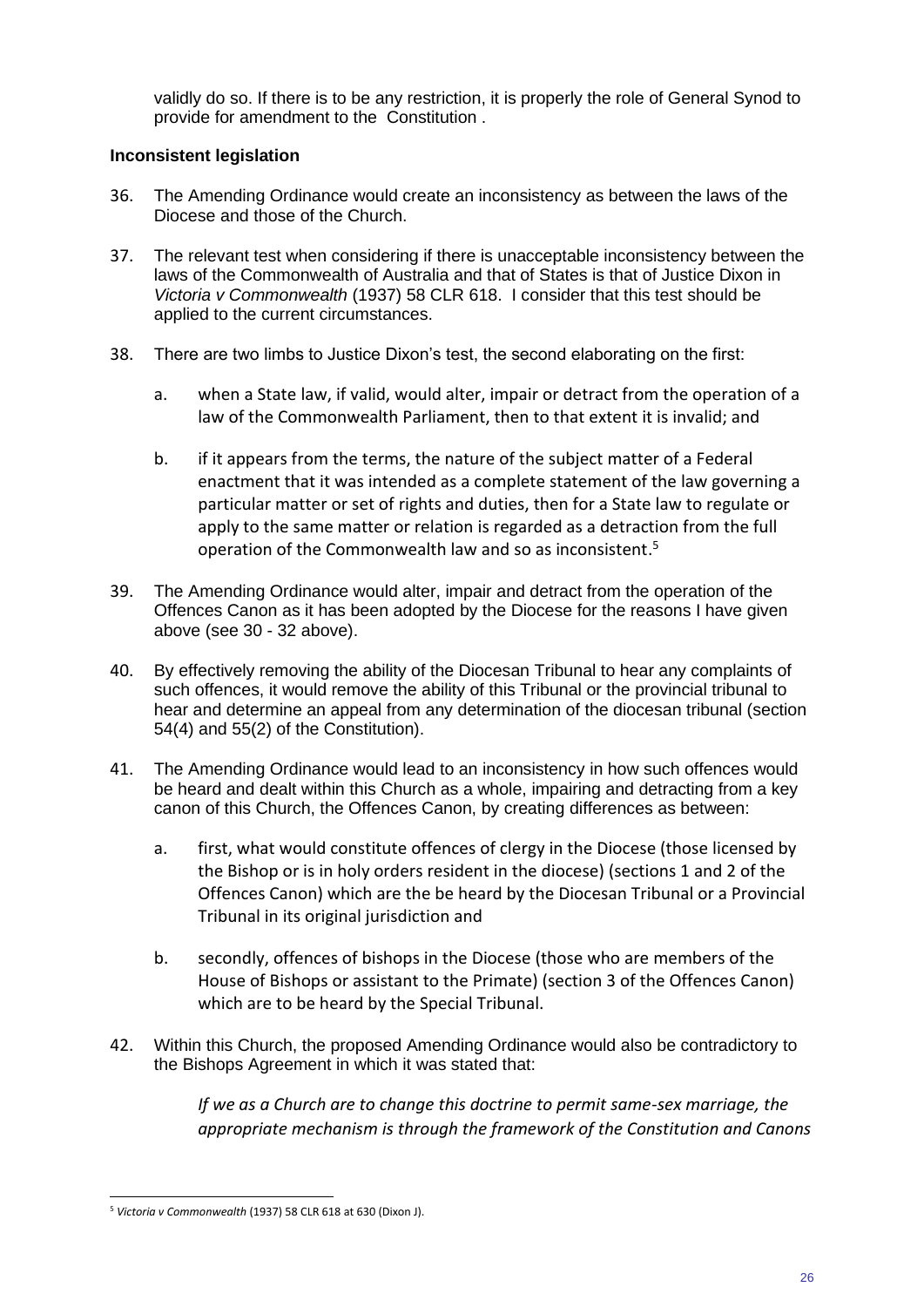validly do so. If there is to be any restriction, it is properly the role of General Synod to provide for amendment to the Constitution .

### **Inconsistent legislation**

- 36. The Amending Ordinance would create an inconsistency as between the laws of the Diocese and those of the Church.
- 37. The relevant test when considering if there is unacceptable inconsistency between the laws of the Commonwealth of Australia and that of States is that of Justice Dixon in *Victoria v Commonwealth* (1937) 58 CLR 618. I consider that this test should be applied to the current circumstances.
- 38. There are two limbs to Justice Dixon's test, the second elaborating on the first:
	- a. when a State law, if valid, would alter, impair or detract from the operation of a law of the Commonwealth Parliament, then to that extent it is invalid; and
	- b. if it appears from the terms, the nature of the subject matter of a Federal enactment that it was intended as a complete statement of the law governing a particular matter or set of rights and duties, then for a State law to regulate or apply to the same matter or relation is regarded as a detraction from the full operation of the Commonwealth law and so as inconsistent.<sup>5</sup>
- 39. The Amending Ordinance would alter, impair and detract from the operation of the Offences Canon as it has been adopted by the Diocese for the reasons I have given above (see [30](#page-25-0) - [32](#page-25-1) above).
- 40. By effectively removing the ability of the Diocesan Tribunal to hear any complaints of such offences, it would remove the ability of this Tribunal or the provincial tribunal to hear and determine an appeal from any determination of the diocesan tribunal (section 54(4) and 55(2) of the Constitution).
- 41. The Amending Ordinance would lead to an inconsistency in how such offences would be heard and dealt within this Church as a whole, impairing and detracting from a key canon of this Church, the Offences Canon, by creating differences as between:
	- a. first, what would constitute offences of clergy in the Diocese (those licensed by the Bishop or is in holy orders resident in the diocese) (sections 1 and 2 of the Offences Canon) which are the be heard by the Diocesan Tribunal or a Provincial Tribunal in its original jurisdiction and
	- b. secondly, offences of bishops in the Diocese (those who are members of the House of Bishops or assistant to the Primate) (section 3 of the Offences Canon) which are to be heard by the Special Tribunal.
- 42. Within this Church, the proposed Amending Ordinance would also be contradictory to the Bishops Agreement in which it was stated that:

*If we as a Church are to change this doctrine to permit same-sex marriage, the appropriate mechanism is through the framework of the Constitution and Canons* 

<sup>5</sup> *Victoria v Commonwealth* (1937) 58 CLR 618 at 630 (Dixon J).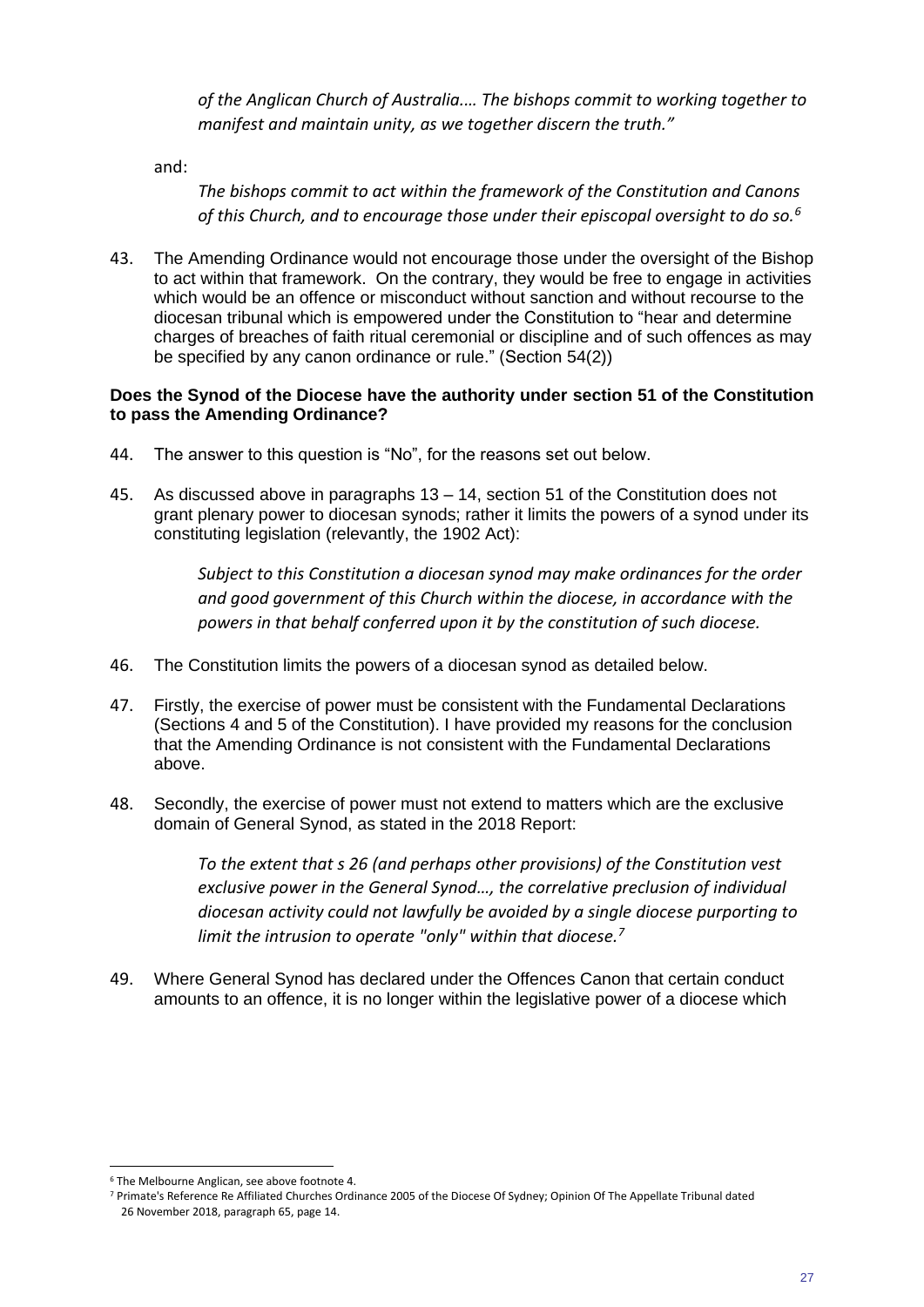*of the Anglican Church of Australia.… The bishops commit to working together to manifest and maintain unity, as we together discern the truth."* 

and:

*The bishops commit to act within the framework of the Constitution and Canons of this Church, and to encourage those under their episcopal oversight to do so.<sup>6</sup>*

43. The Amending Ordinance would not encourage those under the oversight of the Bishop to act within that framework. On the contrary, they would be free to engage in activities which would be an offence or misconduct without sanction and without recourse to the diocesan tribunal which is empowered under the Constitution to "hear and determine charges of breaches of faith ritual ceremonial or discipline and of such offences as may be specified by any canon ordinance or rule." (Section 54(2))

#### **Does the Synod of the Diocese have the authority under section 51 of the Constitution to pass the Amending Ordinance?**

- 44. The answer to this question is "No", for the reasons set out below.
- 45. As discussed above in paragraphs [13](#page-21-0) [14,](#page-21-1) section 51 of the Constitution does not grant plenary power to diocesan synods; rather it limits the powers of a synod under its constituting legislation (relevantly, the 1902 Act):

*Subject to this Constitution a diocesan synod may make ordinances for the order and good government of this Church within the diocese, in accordance with the powers in that behalf conferred upon it by the constitution of such diocese.*

- 46. The Constitution limits the powers of a diocesan synod as detailed below.
- 47. Firstly, the exercise of power must be consistent with the Fundamental Declarations (Sections 4 and 5 of the Constitution). I have provided my reasons for the conclusion that the Amending Ordinance is not consistent with the Fundamental Declarations above.
- 48. Secondly, the exercise of power must not extend to matters which are the exclusive domain of General Synod, as stated in the 2018 Report:

*To the extent that s 26 (and perhaps other provisions) of the Constitution vest exclusive power in the General Synod…, the correlative preclusion of individual diocesan activity could not lawfully be avoided by a single diocese purporting to limit the intrusion to operate "only" within that diocese.<sup>7</sup>*

49. Where General Synod has declared under the Offences Canon that certain conduct amounts to an offence, it is no longer within the legislative power of a diocese which

<sup>6</sup> The Melbourne Anglican, see above footnote [4.](#page-24-1)

<sup>7</sup> Primate's Reference Re Affiliated Churches Ordinance 2005 of the Diocese Of Sydney; Opinion Of The Appellate Tribunal dated 26 November 2018, paragraph 65, page 14.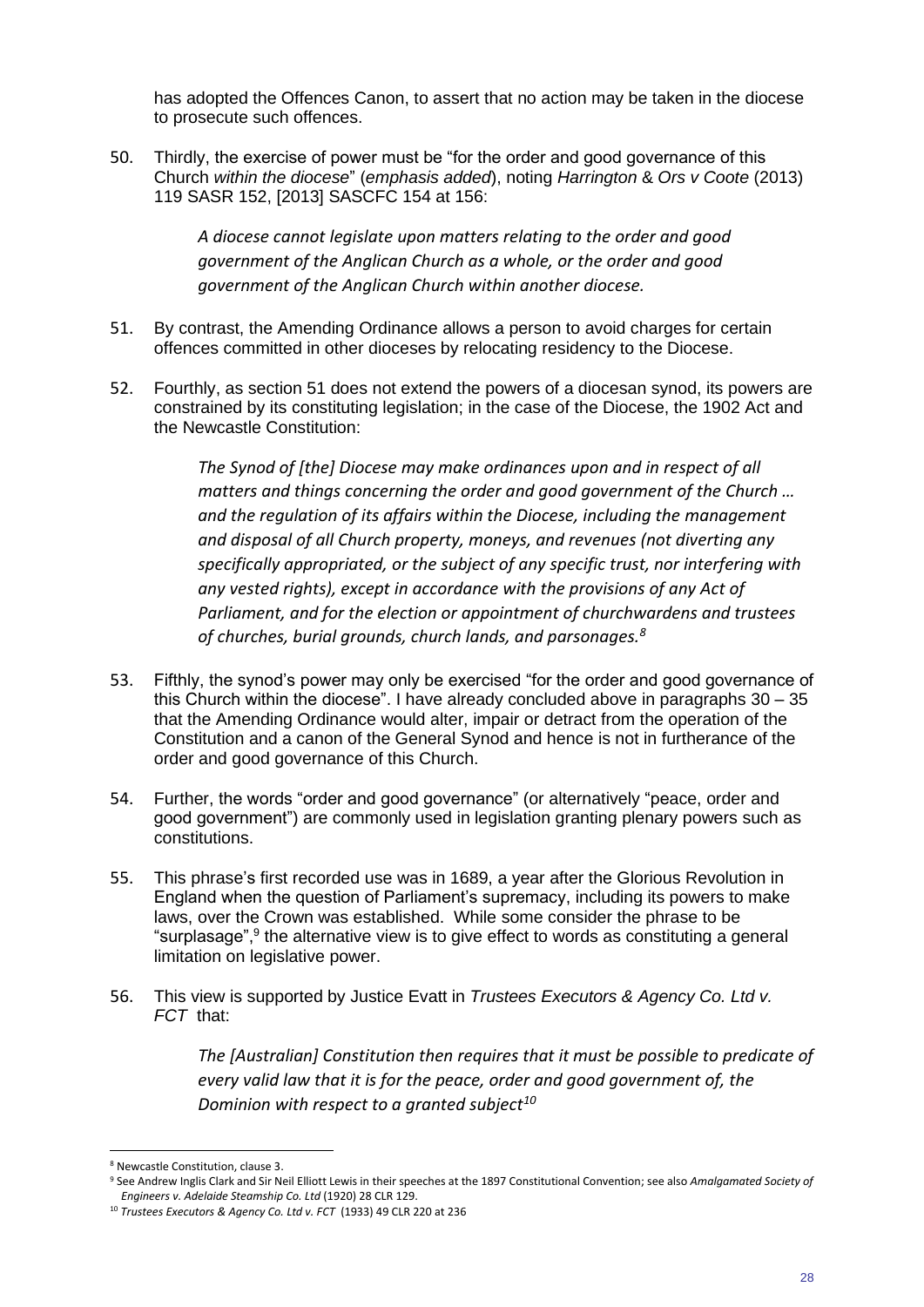has adopted the Offences Canon, to assert that no action may be taken in the diocese to prosecute such offences.

50. Thirdly, the exercise of power must be "for the order and good governance of this Church *within the diocese*" (*emphasis added*), noting *Harrington* & *Ors v Coote* (2013) 119 SASR 152, [2013] SASCFC 154 at 156:

> *A diocese cannot legislate upon matters relating to the order and good government of the Anglican Church as a whole, or the order and good government of the Anglican Church within another diocese.*

- 51. By contrast, the Amending Ordinance allows a person to avoid charges for certain offences committed in other dioceses by relocating residency to the Diocese.
- 52. Fourthly, as section 51 does not extend the powers of a diocesan synod, its powers are constrained by its constituting legislation; in the case of the Diocese, the 1902 Act and the Newcastle Constitution:

*The Synod of [the] Diocese may make ordinances upon and in respect of all matters and things concerning the order and good government of the Church … and the regulation of its affairs within the Diocese, including the management and disposal of all Church property, moneys, and revenues (not diverting any specifically appropriated, or the subject of any specific trust, nor interfering with any vested rights), except in accordance with the provisions of any Act of Parliament, and for the election or appointment of churchwardens and trustees of churches, burial grounds, church lands, and parsonages.<sup>8</sup>*

- 53. Fifthly, the synod's power may only be exercised "for the order and good governance of this Church within the diocese". I have already concluded above in paragraphs [30](#page-25-0) – [35](#page-25-2) that the Amending Ordinance would alter, impair or detract from the operation of the Constitution and a canon of the General Synod and hence is not in furtherance of the order and good governance of this Church.
- 54. Further, the words "order and good governance" (or alternatively "peace, order and good government") are commonly used in legislation granting plenary powers such as constitutions.
- 55. This phrase's first recorded use was in 1689, a year after the Glorious Revolution in England when the question of Parliament's supremacy, including its powers to make laws, over the Crown was established. While some consider the phrase to be "surplasage",<sup>9</sup> the alternative view is to give effect to words as constituting a general limitation on legislative power.
- 56. This view is supported by Justice Evatt in *Trustees Executors & Agency Co. Ltd v. FCT* that:

*The [Australian] Constitution then requires that it must be possible to predicate of every valid law that it is for the peace, order and good government of, the Dominion with respect to a granted subject<sup>10</sup>*

<sup>8</sup> Newcastle Constitution, clause 3.

<sup>9</sup> See Andrew Inglis Clark and Sir Neil Elliott Lewis in their speeches at the 1897 Constitutional Convention; see also *Amalgamated Society of Engineers v. Adelaide Steamship Co. Ltd* (1920) 28 CLR 129.

<sup>10</sup> *Trustees Executors & Agency Co. Ltd v. FCT* (1933) 49 CLR 220 at 236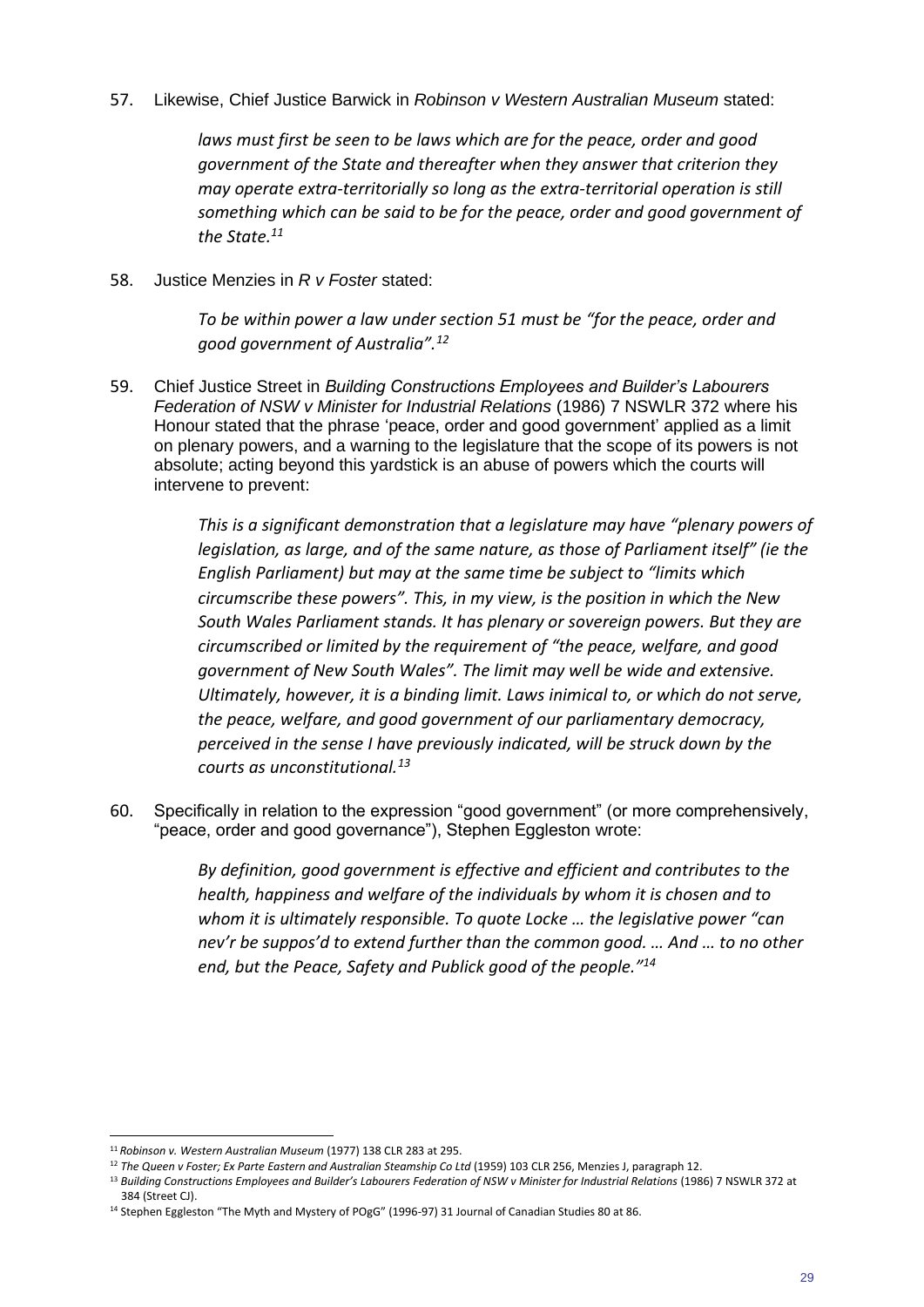57. Likewise, Chief Justice Barwick in *Robinson v Western Australian Museum* stated:

*laws must first be seen to be laws which are for the peace, order and good government of the State and thereafter when they answer that criterion they may operate extra-territorially so long as the extra-territorial operation is still something which can be said to be for the peace, order and good government of the State.<sup>11</sup>*

58. Justice Menzies in *R v Foster* stated:

*To be within power a law under section 51 must be "for the peace, order and good government of Australia".<sup>12</sup>*

59. Chief Justice Street in *Building Constructions Employees and Builder's Labourers Federation of NSW v Minister for Industrial Relations* (1986) 7 NSWLR 372 where his Honour stated that the phrase 'peace, order and good government' applied as a limit on plenary powers, and a warning to the legislature that the scope of its powers is not absolute; acting beyond this yardstick is an abuse of powers which the courts will intervene to prevent:

> *This is a significant demonstration that a legislature may have "plenary powers of legislation, as large, and of the same nature, as those of Parliament itself" (ie the English Parliament) but may at the same time be subject to "limits which circumscribe these powers". This, in my view, is the position in which the New South Wales Parliament stands. It has plenary or sovereign powers. But they are circumscribed or limited by the requirement of "the peace, welfare, and good government of New South Wales". The limit may well be wide and extensive. Ultimately, however, it is a binding limit. Laws inimical to, or which do not serve, the peace, welfare, and good government of our parliamentary democracy, perceived in the sense I have previously indicated, will be struck down by the courts as unconstitutional.<sup>13</sup>*

60. Specifically in relation to the expression "good government" (or more comprehensively, "peace, order and good governance"), Stephen Eggleston wrote:

> *By definition, good government is effective and efficient and contributes to the health, happiness and welfare of the individuals by whom it is chosen and to whom it is ultimately responsible. To quote Locke … the legislative power "can nev'r be suppos'd to extend further than the common good. … And … to no other end, but the Peace, Safety and Publick good of the people."<sup>14</sup>*

<sup>11</sup> *Robinson v. Western Australian Museum* (1977) 138 CLR 283 at 295.

<sup>&</sup>lt;sup>12</sup> The Queen v Foster; Ex Parte Eastern and Australian Steamship Co Ltd (1959) 103 CLR 256, Menzies J, paragraph 12.

<sup>13</sup> *Building Constructions Employees and Builder's Labourers Federation of NSW v Minister for Industrial Relations* (1986) 7 NSWLR 372 at 384 (Street CJ).

<sup>&</sup>lt;sup>14</sup> Stephen Eggleston "The Myth and Mystery of POgG" (1996-97) 31 Journal of Canadian Studies 80 at 86.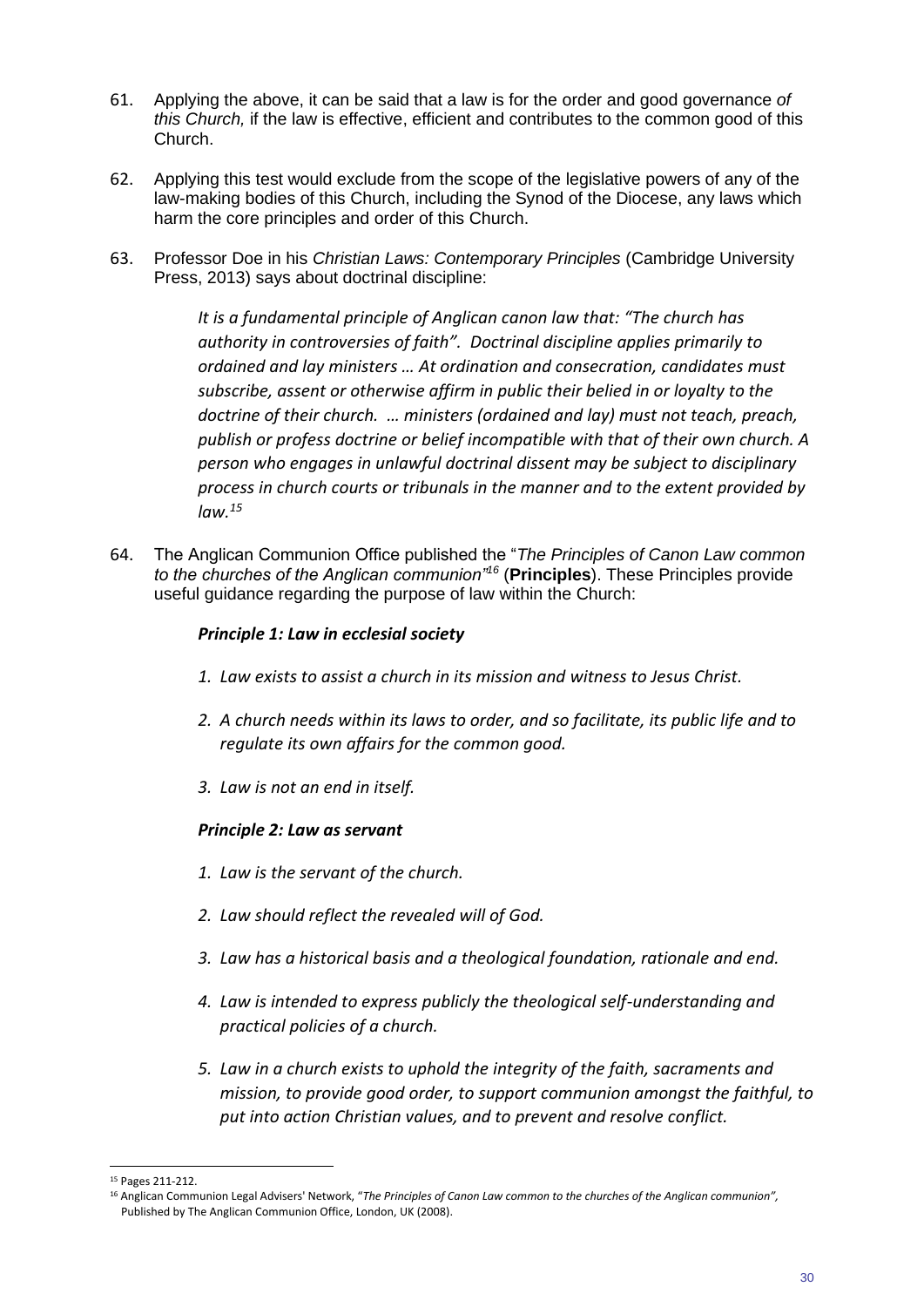- 61. Applying the above, it can be said that a law is for the order and good governance *of this Church,* if the law is effective, efficient and contributes to the common good of this Church.
- 62. Applying this test would exclude from the scope of the legislative powers of any of the law-making bodies of this Church, including the Synod of the Diocese, any laws which harm the core principles and order of this Church.
- 63. Professor Doe in his *Christian Laws: Contemporary Principles* (Cambridge University Press, 2013) says about doctrinal discipline:

*It is a fundamental principle of Anglican canon law that: "The church has authority in controversies of faith". Doctrinal discipline applies primarily to ordained and lay ministers … At ordination and consecration, candidates must subscribe, assent or otherwise affirm in public their belied in or loyalty to the doctrine of their church. … ministers (ordained and lay) must not teach, preach, publish or profess doctrine or belief incompatible with that of their own church. A person who engages in unlawful doctrinal dissent may be subject to disciplinary process in church courts or tribunals in the manner and to the extent provided by law.<sup>15</sup>* 

64. The Anglican Communion Office published the "*The Principles of Canon Law common to the churches of the Anglican communion"<sup>16</sup>* (**Principles**). These Principles provide useful guidance regarding the purpose of law within the Church:

### *Principle 1: Law in ecclesial society*

- *1. Law exists to assist a church in its mission and witness to Jesus Christ.*
- *2. A church needs within its laws to order, and so facilitate, its public life and to regulate its own affairs for the common good.*
- *3. Law is not an end in itself.*

#### *Principle 2: Law as servant*

- *1. Law is the servant of the church.*
- *2. Law should reflect the revealed will of God.*
- *3. Law has a historical basis and a theological foundation, rationale and end.*
- *4. Law is intended to express publicly the theological self-understanding and practical policies of a church.*
- *5. Law in a church exists to uphold the integrity of the faith, sacraments and mission, to provide good order, to support communion amongst the faithful, to put into action Christian values, and to prevent and resolve conflict.*

<sup>15</sup> Pages 211-212.

<sup>16</sup> Anglican Communion Legal Advisers' Network, "*The Principles of Canon Law common to the churches of the Anglican communion",*  Published by The Anglican Communion Office, London, UK (2008).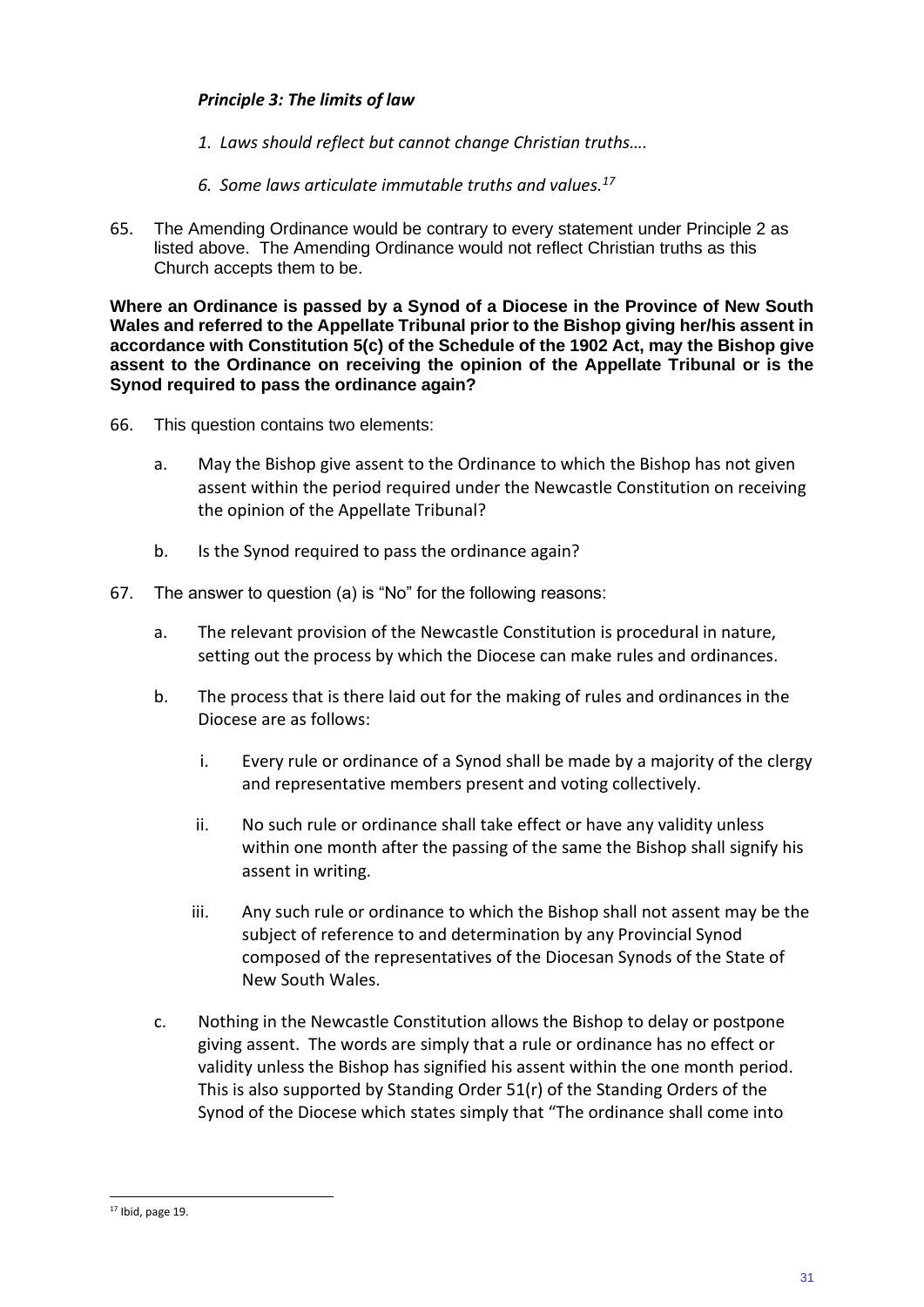### *Principle 3: The limits of law*

- *1. Laws should reflect but cannot change Christian truths….*
- *6. Some laws articulate immutable truths and values.<sup>17</sup>*
- 65. The Amending Ordinance would be contrary to every statement under Principle 2 as listed above. The Amending Ordinance would not reflect Christian truths as this Church accepts them to be.

**Where an Ordinance is passed by a Synod of a Diocese in the Province of New South Wales and referred to the Appellate Tribunal prior to the Bishop giving her/his assent in accordance with Constitution 5(c) of the Schedule of the 1902 Act, may the Bishop give assent to the Ordinance on receiving the opinion of the Appellate Tribunal or is the Synod required to pass the ordinance again?**

- 66. This question contains two elements:
	- a. May the Bishop give assent to the Ordinance to which the Bishop has not given assent within the period required under the Newcastle Constitution on receiving the opinion of the Appellate Tribunal?
	- b. Is the Synod required to pass the ordinance again?
- <span id="page-31-0"></span>67. The answer to question (a) is "No" for the following reasons:
	- a. The relevant provision of the Newcastle Constitution is procedural in nature, setting out the process by which the Diocese can make rules and ordinances.
	- b. The process that is there laid out for the making of rules and ordinances in the Diocese are as follows:
		- i. Every rule or ordinance of a Synod shall be made by a majority of the clergy and representative members present and voting collectively.
		- ii. No such rule or ordinance shall take effect or have any validity unless within one month after the passing of the same the Bishop shall signify his assent in writing.
		- iii. Any such rule or ordinance to which the Bishop shall not assent may be the subject of reference to and determination by any Provincial Synod composed of the representatives of the Diocesan Synods of the State of New South Wales.
	- c. Nothing in the Newcastle Constitution allows the Bishop to delay or postpone giving assent. The words are simply that a rule or ordinance has no effect or validity unless the Bishop has signified his assent within the one month period. This is also supported by Standing Order 51(r) of the Standing Orders of the Synod of the Diocese which states simply that "The ordinance shall come into

 $17$  Ibid, page 19.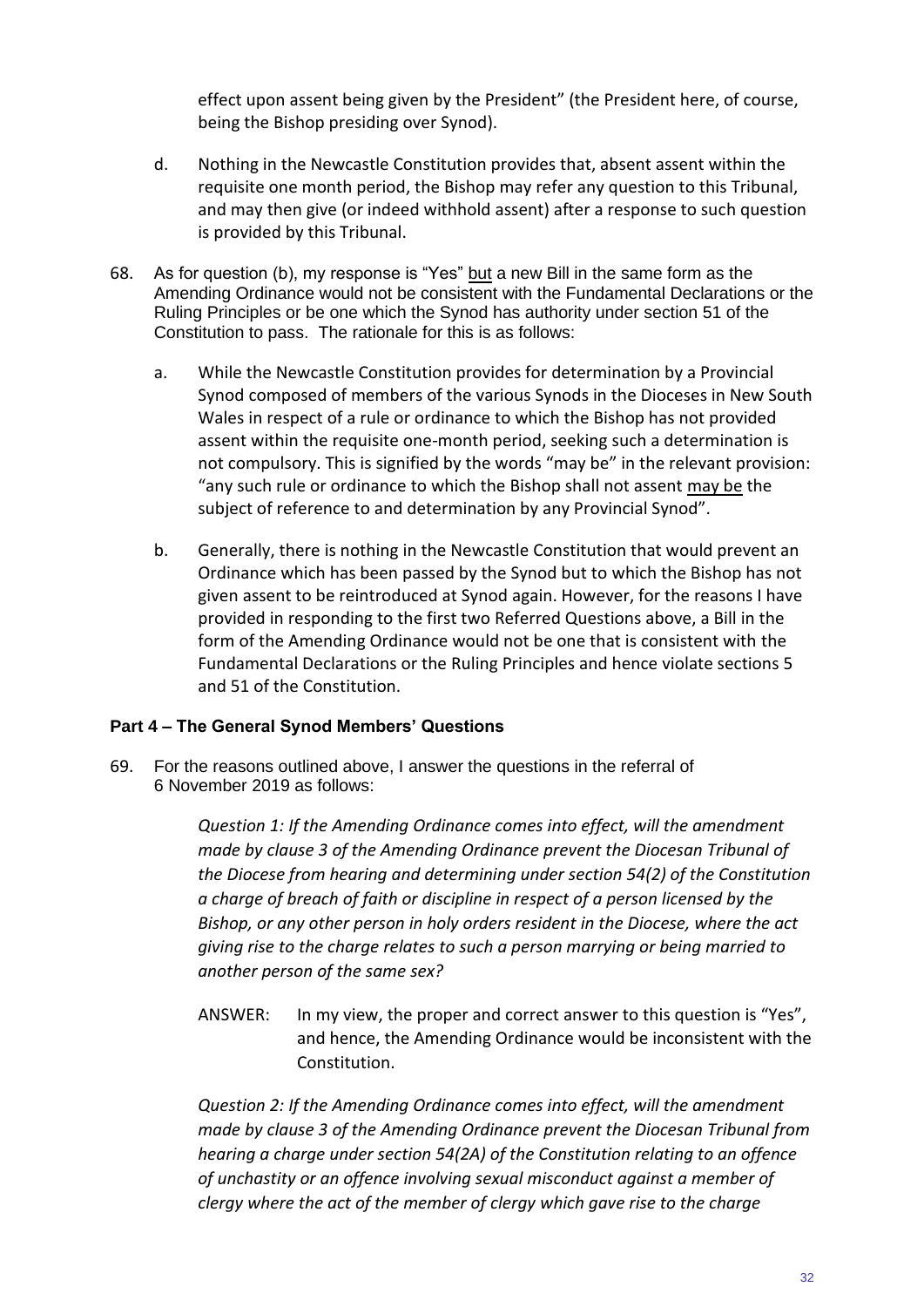effect upon assent being given by the President" (the President here, of course, being the Bishop presiding over Synod).

- d. Nothing in the Newcastle Constitution provides that, absent assent within the requisite one month period, the Bishop may refer any question to this Tribunal, and may then give (or indeed withhold assent) after a response to such question is provided by this Tribunal.
- 68. As for question (b), my response is "Yes" but a new Bill in the same form as the Amending Ordinance would not be consistent with the Fundamental Declarations or the Ruling Principles or be one which the Synod has authority under section 51 of the Constitution to pass. The rationale for this is as follows:
	- a. While the Newcastle Constitution provides for determination by a Provincial Synod composed of members of the various Synods in the Dioceses in New South Wales in respect of a rule or ordinance to which the Bishop has not provided assent within the requisite one-month period, seeking such a determination is not compulsory. This is signified by the words "may be" in the relevant provision: "any such rule or ordinance to which the Bishop shall not assent may be the subject of reference to and determination by any Provincial Synod".
	- b. Generally, there is nothing in the Newcastle Constitution that would prevent an Ordinance which has been passed by the Synod but to which the Bishop has not given assent to be reintroduced at Synod again. However, for the reasons I have provided in responding to the first two Referred Questions above, a Bill in the form of the Amending Ordinance would not be one that is consistent with the Fundamental Declarations or the Ruling Principles and hence violate sections 5 and 51 of the Constitution.

## **Part 4 – The General Synod Members' Questions**

69. For the reasons outlined above, I answer the questions in the referral of 6 November 2019 as follows:

> *Question 1: If the Amending Ordinance comes into effect, will the amendment made by clause 3 of the Amending Ordinance prevent the Diocesan Tribunal of the Diocese from hearing and determining under section 54(2) of the Constitution a charge of breach of faith or discipline in respect of a person licensed by the Bishop, or any other person in holy orders resident in the Diocese, where the act giving rise to the charge relates to such a person marrying or being married to another person of the same sex?*

> ANSWER: In my view, the proper and correct answer to this question is "Yes", and hence, the Amending Ordinance would be inconsistent with the Constitution.

> *Question 2: If the Amending Ordinance comes into effect, will the amendment made by clause 3 of the Amending Ordinance prevent the Diocesan Tribunal from hearing a charge under section 54(2A) of the Constitution relating to an offence of unchastity or an offence involving sexual misconduct against a member of clergy where the act of the member of clergy which gave rise to the charge*